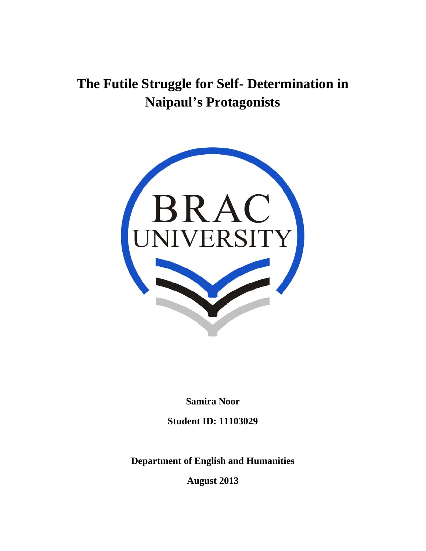# **The Futile Struggle for Self- Determination in Naipaul's Protagonists**



**Samira Noor** 

**Student ID: 11103029** 

**Department of English and Humanities** 

**August 2013**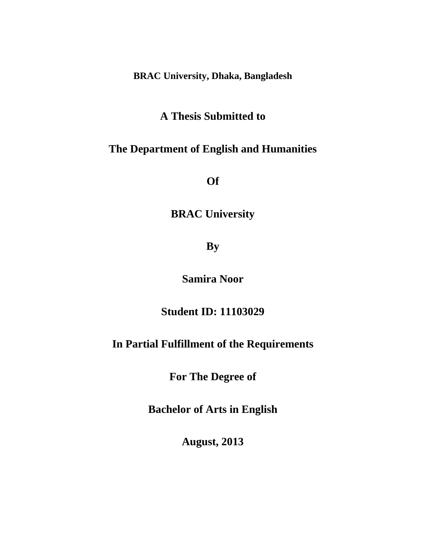**BRAC University, Dhaka, Bangladesh** 

# **A Thesis Submitted to**

# **The Department of English and Humanities**

**Of** 

# **BRAC University**

**By** 

**Samira Noor** 

**Student ID: 11103029** 

# **In Partial Fulfillment of the Requirements**

**For The Degree of** 

**Bachelor of Arts in English** 

**August, 2013**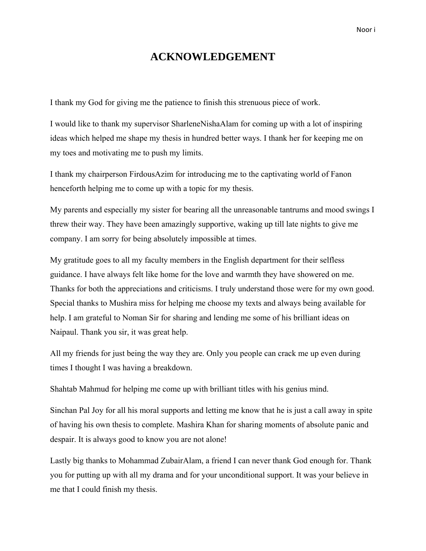### **ACKNOWLEDGEMENT**

I thank my God for giving me the patience to finish this strenuous piece of work.

I would like to thank my supervisor SharleneNishaAlam for coming up with a lot of inspiring ideas which helped me shape my thesis in hundred better ways. I thank her for keeping me on my toes and motivating me to push my limits.

I thank my chairperson FirdousAzim for introducing me to the captivating world of Fanon henceforth helping me to come up with a topic for my thesis.

My parents and especially my sister for bearing all the unreasonable tantrums and mood swings I threw their way. They have been amazingly supportive, waking up till late nights to give me company. I am sorry for being absolutely impossible at times.

My gratitude goes to all my faculty members in the English department for their selfless guidance. I have always felt like home for the love and warmth they have showered on me. Thanks for both the appreciations and criticisms. I truly understand those were for my own good. Special thanks to Mushira miss for helping me choose my texts and always being available for help. I am grateful to Noman Sir for sharing and lending me some of his brilliant ideas on Naipaul. Thank you sir, it was great help.

All my friends for just being the way they are. Only you people can crack me up even during times I thought I was having a breakdown.

Shahtab Mahmud for helping me come up with brilliant titles with his genius mind.

Sinchan Pal Joy for all his moral supports and letting me know that he is just a call away in spite of having his own thesis to complete. Mashira Khan for sharing moments of absolute panic and despair. It is always good to know you are not alone!

Lastly big thanks to Mohammad ZubairAlam, a friend I can never thank God enough for. Thank you for putting up with all my drama and for your unconditional support. It was your believe in me that I could finish my thesis.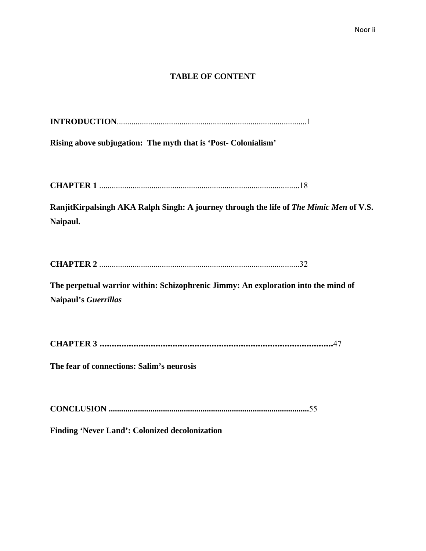#### **TABLE OF CONTENT**

|--|

**Rising above subjugation: The myth that is 'Post- Colonialism'** 

**CHAPTER 1** ................................................................................................18

RanjitKirpalsingh AKA Ralph Singh: A journey through the life of *The Mimic Men* of V.S. **Naipaul.** 

| <b>CHAPTER 2</b> |
|------------------|
|------------------|

**The perpetual warrior within: Schizophrenic Jimmy: An exploration into the mind of Naipaul's** *Guerrillas* 

**CHAPTER 3 ................................................................................................**47

**The fear of connections: Salim's neurosis** 

**CONCLUSION ................................................................................................**55

**Finding 'Never Land': Colonized decolonization**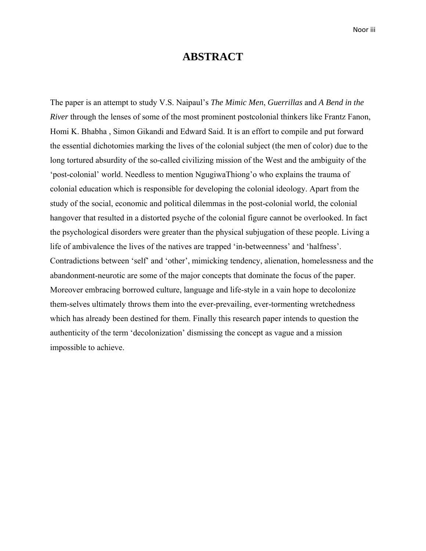### **ABSTRACT**

The paper is an attempt to study V.S. Naipaul's *The Mimic Men*, *Guerrillas* and *A Bend in the River* through the lenses of some of the most prominent postcolonial thinkers like Frantz Fanon, Homi K. Bhabha , Simon Gikandi and Edward Said. It is an effort to compile and put forward the essential dichotomies marking the lives of the colonial subject (the men of color) due to the long tortured absurdity of the so-called civilizing mission of the West and the ambiguity of the 'post-colonial' world. Needless to mention NgugiwaThiong'o who explains the trauma of colonial education which is responsible for developing the colonial ideology. Apart from the study of the social, economic and political dilemmas in the post-colonial world, the colonial hangover that resulted in a distorted psyche of the colonial figure cannot be overlooked. In fact the psychological disorders were greater than the physical subjugation of these people. Living a life of ambivalence the lives of the natives are trapped 'in-betweenness' and 'halfness'. Contradictions between 'self' and 'other', mimicking tendency, alienation, homelessness and the abandonment-neurotic are some of the major concepts that dominate the focus of the paper. Moreover embracing borrowed culture, language and life-style in a vain hope to decolonize them-selves ultimately throws them into the ever-prevailing, ever-tormenting wretchedness which has already been destined for them. Finally this research paper intends to question the authenticity of the term 'decolonization' dismissing the concept as vague and a mission impossible to achieve.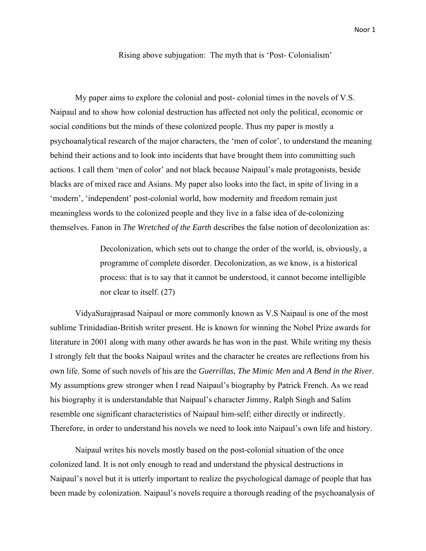Rising above subjugation: The myth that is 'Post- Colonialism'

My paper aims to explore the colonial and post- colonial times in the novels of V.S. Naipaul and to show how colonial destruction has affected not only the political, economic or social conditions but the minds of these colonized people. Thus my paper is mostly a psychoanalytical research of the major characters, the 'men of color', to understand the meaning behind their actions and to look into incidents that have brought them into committing such actions. I call them 'men of color' and not black because Naipaul's male protagonists, beside blacks are of mixed race and Asians. My paper also looks into the fact, in spite of living in a 'modern', 'independent' post-colonial world, how modernity and freedom remain just meaningless words to the colonized people and they live in a false idea of de-colonizing themselves. Fanon in *The Wretched of the Earth* describes the false notion of decolonization as:

> Decolonization, which sets out to change the order of the world, is, obviously, a programme of complete disorder. Decolonization, as we know, is a historical process: that is to say that it cannot be understood, it cannot become intelligible nor clear to itself. (27)

VidyaSurajprasad Naipaul or more commonly known as V.S Naipaul is one of the most sublime Trinidadian-British writer present. He is known for winning the Nobel Prize awards for literature in 2001 along with many other awards he has won in the past. While writing my thesis I strongly felt that the books Naipaul writes and the character he creates are reflections from his own life. Some of such novels of his are the *Guerrillas*, *The Mimic Men* and *A Bend in the River*. My assumptions grew stronger when I read Naipaul's biography by Patrick French. As we read his biography it is understandable that Naipaul's character Jimmy, Ralph Singh and Salim resemble one significant characteristics of Naipaul him-self; either directly or indirectly. Therefore, in order to understand his novels we need to look into Naipaul's own life and history.

Naipaul writes his novels mostly based on the post-colonial situation of the once colonized land. It is not only enough to read and understand the physical destructions in Naipaul's novel but it is utterly important to realize the psychological damage of people that has been made by colonization. Naipaul's novels require a thorough reading of the psychoanalysis of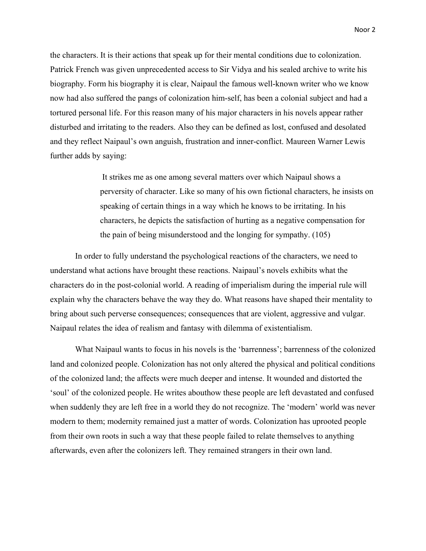the characters. It is their actions that speak up for their mental conditions due to colonization. Patrick French was given unprecedented access to Sir Vidya and his sealed archive to write his biography. Form his biography it is clear, Naipaul the famous well-known writer who we know now had also suffered the pangs of colonization him-self, has been a colonial subject and had a tortured personal life. For this reason many of his major characters in his novels appear rather disturbed and irritating to the readers. Also they can be defined as lost, confused and desolated and they reflect Naipaul's own anguish, frustration and inner-conflict. Maureen Warner Lewis further adds by saying:

> It strikes me as one among several matters over which Naipaul shows a perversity of character. Like so many of his own fictional characters, he insists on speaking of certain things in a way which he knows to be irritating. In his characters, he depicts the satisfaction of hurting as a negative compensation for the pain of being misunderstood and the longing for sympathy. (105)

In order to fully understand the psychological reactions of the characters, we need to understand what actions have brought these reactions. Naipaul's novels exhibits what the characters do in the post-colonial world. A reading of imperialism during the imperial rule will explain why the characters behave the way they do. What reasons have shaped their mentality to bring about such perverse consequences; consequences that are violent, aggressive and vulgar. Naipaul relates the idea of realism and fantasy with dilemma of existentialism.

What Naipaul wants to focus in his novels is the 'barrenness'; barrenness of the colonized land and colonized people. Colonization has not only altered the physical and political conditions of the colonized land; the affects were much deeper and intense. It wounded and distorted the 'soul' of the colonized people. He writes abouthow these people are left devastated and confused when suddenly they are left free in a world they do not recognize. The 'modern' world was never modern to them; modernity remained just a matter of words. Colonization has uprooted people from their own roots in such a way that these people failed to relate themselves to anything afterwards, even after the colonizers left. They remained strangers in their own land.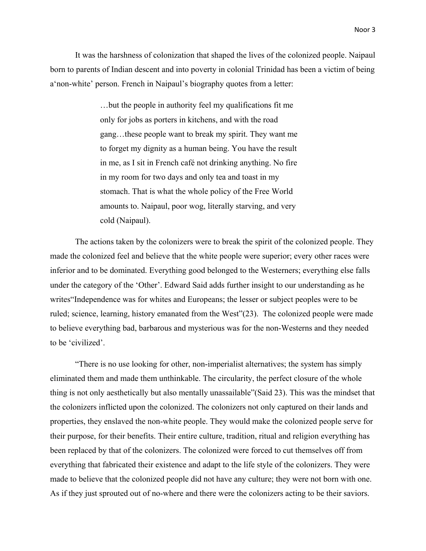It was the harshness of colonization that shaped the lives of the colonized people. Naipaul born to parents of Indian descent and into poverty in colonial Trinidad has been a victim of being a'non-white' person. French in Naipaul's biography quotes from a letter:

> …but the people in authority feel my qualifications fit me only for jobs as porters in kitchens, and with the road gang…these people want to break my spirit. They want me to forget my dignity as a human being. You have the result in me, as I sit in French café not drinking anything. No fire in my room for two days and only tea and toast in my stomach. That is what the whole policy of the Free World amounts to. Naipaul, poor wog, literally starving, and very cold (Naipaul).

The actions taken by the colonizers were to break the spirit of the colonized people. They made the colonized feel and believe that the white people were superior; every other races were inferior and to be dominated. Everything good belonged to the Westerners; everything else falls under the category of the 'Other'. Edward Said adds further insight to our understanding as he writes"Independence was for whites and Europeans; the lesser or subject peoples were to be ruled; science, learning, history emanated from the West"(23). The colonized people were made to believe everything bad, barbarous and mysterious was for the non-Westerns and they needed to be 'civilized'.

"There is no use looking for other, non-imperialist alternatives; the system has simply eliminated them and made them unthinkable. The circularity, the perfect closure of the whole thing is not only aesthetically but also mentally unassailable"(Said 23). This was the mindset that the colonizers inflicted upon the colonized. The colonizers not only captured on their lands and properties, they enslaved the non-white people. They would make the colonized people serve for their purpose, for their benefits. Their entire culture, tradition, ritual and religion everything has been replaced by that of the colonizers. The colonized were forced to cut themselves off from everything that fabricated their existence and adapt to the life style of the colonizers. They were made to believe that the colonized people did not have any culture; they were not born with one. As if they just sprouted out of no-where and there were the colonizers acting to be their saviors.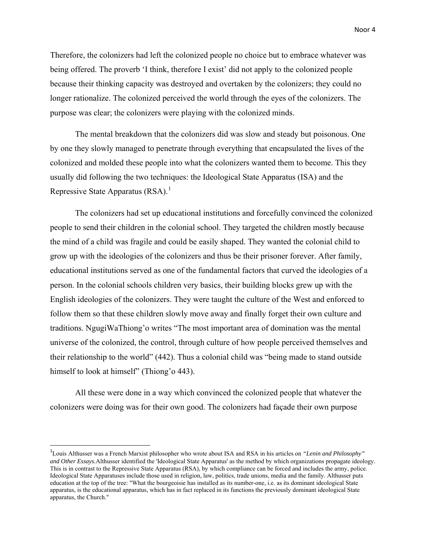Therefore, the colonizers had left the colonized people no choice but to embrace whatever was being offered. The proverb 'I think, therefore I exist' did not apply to the colonized people because their thinking capacity was destroyed and overtaken by the colonizers; they could no longer rationalize. The colonized perceived the world through the eyes of the colonizers. The purpose was clear; the colonizers were playing with the colonized minds.

The mental breakdown that the colonizers did was slow and steady but poisonous. One by one they slowly managed to penetrate through everything that encapsulated the lives of the colonized and molded these people into what the colonizers wanted them to become. This they usually did following the two techniques: the Ideological State Apparatus (ISA) and the Repressive State Apparatus  $(RSA)^{1}$  $(RSA)^{1}$  $(RSA)^{1}$ .

The colonizers had set up educational institutions and forcefully convinced the colonized people to send their children in the colonial school. They targeted the children mostly because the mind of a child was fragile and could be easily shaped. They wanted the colonial child to grow up with the ideologies of the colonizers and thus be their prisoner forever. After family, educational institutions served as one of the fundamental factors that curved the ideologies of a person. In the colonial schools children very basics, their building blocks grew up with the English ideologies of the colonizers. They were taught the culture of the West and enforced to follow them so that these children slowly move away and finally forget their own culture and traditions. NgugiWaThiong'o writes "The most important area of domination was the mental universe of the colonized, the control, through culture of how people perceived themselves and their relationship to the world" (442). Thus a colonial child was "being made to stand outside himself to look at himself" (Thiong'o 443).

All these were done in a way which convinced the colonized people that whatever the colonizers were doing was for their own good. The colonizers had façade their own purpose

<span id="page-8-0"></span><sup>1</sup> Louis Althusser was a French Marxist philosopher who wrote about ISA and RSA in his articles on *"Lenin and Philosophy" and Other Essays.*Althusser identified the 'Ideological State Apparatus' as the method by which organizations propagate ideology. This is in contrast to the Repressive State Apparatus (RSA), by which compliance can be forced and includes the army, police. Ideological State Apparatuses include those used in religion, law, politics, trade unions, media and the family. Althusser puts education at the top of the tree: "What the bourgeoisie has installed as its number-one, i.e. as its dominant ideological State apparatus, is the educational apparatus, which has in fact replaced in its functions the previously dominant ideological State apparatus, the Church."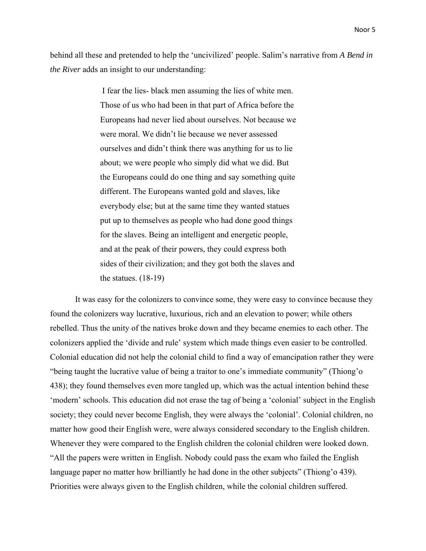behind all these and pretended to help the 'uncivilized' people. Salim's narrative from *A Bend in the River* adds an insight to our understanding:

> I fear the lies- black men assuming the lies of white men. Those of us who had been in that part of Africa before the Europeans had never lied about ourselves. Not because we were moral. We didn't lie because we never assessed ourselves and didn't think there was anything for us to lie about; we were people who simply did what we did. But the Europeans could do one thing and say something quite different. The Europeans wanted gold and slaves, like everybody else; but at the same time they wanted statues put up to themselves as people who had done good things for the slaves. Being an intelligent and energetic people, and at the peak of their powers, they could express both sides of their civilization; and they got both the slaves and the statues. (18-19)

It was easy for the colonizers to convince some, they were easy to convince because they found the colonizers way lucrative, luxurious, rich and an elevation to power; while others rebelled. Thus the unity of the natives broke down and they became enemies to each other. The colonizers applied the 'divide and rule' system which made things even easier to be controlled. Colonial education did not help the colonial child to find a way of emancipation rather they were "being taught the lucrative value of being a traitor to one's immediate community" (Thiong'o 438); they found themselves even more tangled up, which was the actual intention behind these 'modern' schools. This education did not erase the tag of being a 'colonial' subject in the English society; they could never become English, they were always the 'colonial'. Colonial children, no matter how good their English were, were always considered secondary to the English children. Whenever they were compared to the English children the colonial children were looked down. "All the papers were written in English. Nobody could pass the exam who failed the English language paper no matter how brilliantly he had done in the other subjects" (Thiong'o 439). Priorities were always given to the English children, while the colonial children suffered.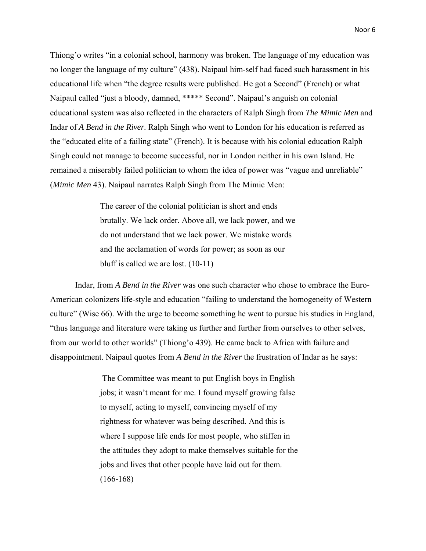Thiong'o writes "in a colonial school, harmony was broken. The language of my education was no longer the language of my culture" (438). Naipaul him-self had faced such harassment in his educational life when "the degree results were published. He got a Second" (French) or what Naipaul called "just a bloody, damned, \*\*\*\*\* Second". Naipaul's anguish on colonial educational system was also reflected in the characters of Ralph Singh from *The Mimic Men* and Indar of *A Bend in the River.* Ralph Singh who went to London for his education is referred as the "educated elite of a failing state" (French). It is because with his colonial education Ralph Singh could not manage to become successful, nor in London neither in his own Island. He remained a miserably failed politician to whom the idea of power was "vague and unreliable" (*Mimic Men* 43). Naipaul narrates Ralph Singh from The Mimic Men:

> The career of the colonial politician is short and ends brutally. We lack order. Above all, we lack power, and we do not understand that we lack power. We mistake words and the acclamation of words for power; as soon as our bluff is called we are lost. (10-11)

Indar, from *A Bend in the River* was one such character who chose to embrace the Euro-American colonizers life-style and education "failing to understand the homogeneity of Western culture" (Wise 66). With the urge to become something he went to pursue his studies in England, "thus language and literature were taking us further and further from ourselves to other selves, from our world to other worlds" (Thiong'o 439). He came back to Africa with failure and disappointment. Naipaul quotes from *A Bend in the River* the frustration of Indar as he says:

> The Committee was meant to put English boys in English jobs; it wasn't meant for me. I found myself growing false to myself, acting to myself, convincing myself of my rightness for whatever was being described. And this is where I suppose life ends for most people, who stiffen in the attitudes they adopt to make themselves suitable for the jobs and lives that other people have laid out for them. (166-168)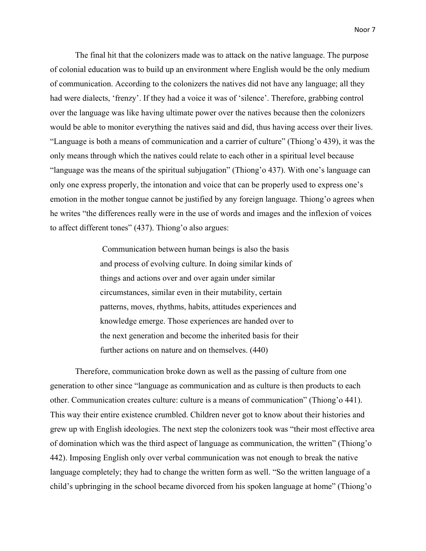The final hit that the colonizers made was to attack on the native language. The purpose of colonial education was to build up an environment where English would be the only medium of communication. According to the colonizers the natives did not have any language; all they had were dialects, 'frenzy'. If they had a voice it was of 'silence'. Therefore, grabbing control over the language was like having ultimate power over the natives because then the colonizers would be able to monitor everything the natives said and did, thus having access over their lives. "Language is both a means of communication and a carrier of culture" (Thiong'o 439), it was the only means through which the natives could relate to each other in a spiritual level because "language was the means of the spiritual subjugation" (Thiong'o 437). With one's language can only one express properly, the intonation and voice that can be properly used to express one's emotion in the mother tongue cannot be justified by any foreign language. Thiong'o agrees when he writes "the differences really were in the use of words and images and the inflexion of voices to affect different tones" (437). Thiong'o also argues:

> Communication between human beings is also the basis and process of evolving culture. In doing similar kinds of things and actions over and over again under similar circumstances, similar even in their mutability, certain patterns, moves, rhythms, habits, attitudes experiences and knowledge emerge. Those experiences are handed over to the next generation and become the inherited basis for their further actions on nature and on themselves. (440)

Therefore, communication broke down as well as the passing of culture from one generation to other since "language as communication and as culture is then products to each other. Communication creates culture: culture is a means of communication" (Thiong'o 441). This way their entire existence crumbled. Children never got to know about their histories and grew up with English ideologies. The next step the colonizers took was "their most effective area of domination which was the third aspect of language as communication, the written" (Thiong'o 442). Imposing English only over verbal communication was not enough to break the native language completely; they had to change the written form as well. "So the written language of a child's upbringing in the school became divorced from his spoken language at home" (Thiong'o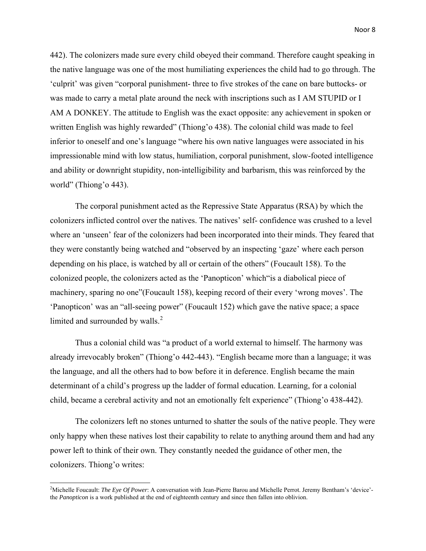442). The colonizers made sure every child obeyed their command. Therefore caught speaking in the native language was one of the most humiliating experiences the child had to go through. The 'culprit' was given "corporal punishment- three to five strokes of the cane on bare buttocks- or was made to carry a metal plate around the neck with inscriptions such as I AM STUPID or I AM A DONKEY. The attitude to English was the exact opposite: any achievement in spoken or written English was highly rewarded" (Thiong'o 438). The colonial child was made to feel inferior to oneself and one's language "where his own native languages were associated in his impressionable mind with low status, humiliation, corporal punishment, slow-footed intelligence and ability or downright stupidity, non-intelligibility and barbarism, this was reinforced by the world" (Thiong'o 443).

The corporal punishment acted as the Repressive State Apparatus (RSA) by which the colonizers inflicted control over the natives. The natives' self- confidence was crushed to a level where an 'unseen' fear of the colonizers had been incorporated into their minds. They feared that they were constantly being watched and "observed by an inspecting 'gaze' where each person depending on his place, is watched by all or certain of the others" (Foucault 158). To the colonized people, the colonizers acted as the 'Panopticon' which"is a diabolical piece of machinery, sparing no one"(Foucault 158), keeping record of their every 'wrong moves'. The 'Panopticon' was an "all-seeing power" (Foucault 152) which gave the native space; a space limited and surrounded by walls.<sup>[2](#page-12-0)</sup>

Thus a colonial child was "a product of a world external to himself. The harmony was already irrevocably broken" (Thiong'o 442-443). "English became more than a language; it was the language, and all the others had to bow before it in deference. English became the main determinant of a child's progress up the ladder of formal education. Learning, for a colonial child, became a cerebral activity and not an emotionally felt experience" (Thiong'o 438-442).

The colonizers left no stones unturned to shatter the souls of the native people. They were only happy when these natives lost their capability to relate to anything around them and had any power left to think of their own. They constantly needed the guidance of other men, the colonizers. Thiong'o writes:

<span id="page-12-0"></span><sup>2</sup> Michelle Foucault: *The Eye Of Power*: A conversation with Jean-Pierre Barou and Michelle Perrot. Jeremy Bentham's 'device' the *Panopticon* is a work published at the end of eighteenth century and since then fallen into oblivion.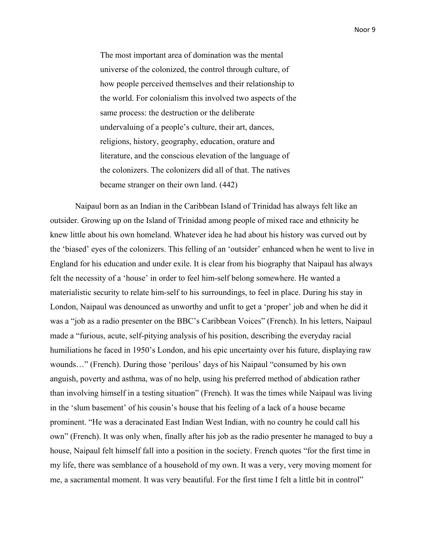The most important area of domination was the mental universe of the colonized, the control through culture, of how people perceived themselves and their relationship to the world. For colonialism this involved two aspects of the same process: the destruction or the deliberate undervaluing of a people's culture, their art, dances, religions, history, geography, education, orature and literature, and the conscious elevation of the language of the colonizers. The colonizers did all of that. The natives became stranger on their own land. (442)

Naipaul born as an Indian in the Caribbean Island of Trinidad has always felt like an outsider. Growing up on the Island of Trinidad among people of mixed race and ethnicity he knew little about his own homeland. Whatever idea he had about his history was curved out by the 'biased' eyes of the colonizers. This felling of an 'outsider' enhanced when he went to live in England for his education and under exile. It is clear from his biography that Naipaul has always felt the necessity of a 'house' in order to feel him-self belong somewhere. He wanted a materialistic security to relate him-self to his surroundings, to feel in place. During his stay in London, Naipaul was denounced as unworthy and unfit to get a 'proper' job and when he did it was a "job as a radio presenter on the BBC's Caribbean Voices" (French). In his letters, Naipaul made a "furious, acute, self-pitying analysis of his position, describing the everyday racial humiliations he faced in 1950's London, and his epic uncertainty over his future, displaying raw wounds…" (French). During those 'perilous' days of his Naipaul "consumed by his own anguish, poverty and asthma, was of no help, using his preferred method of abdication rather than involving himself in a testing situation" (French). It was the times while Naipaul was living in the 'slum basement' of his cousin's house that his feeling of a lack of a house became prominent. "He was a deracinated East Indian West Indian, with no country he could call his own" (French). It was only when, finally after his job as the radio presenter he managed to buy a house, Naipaul felt himself fall into a position in the society. French quotes "for the first time in my life, there was semblance of a household of my own. It was a very, very moving moment for me, a sacramental moment. It was very beautiful. For the first time I felt a little bit in control"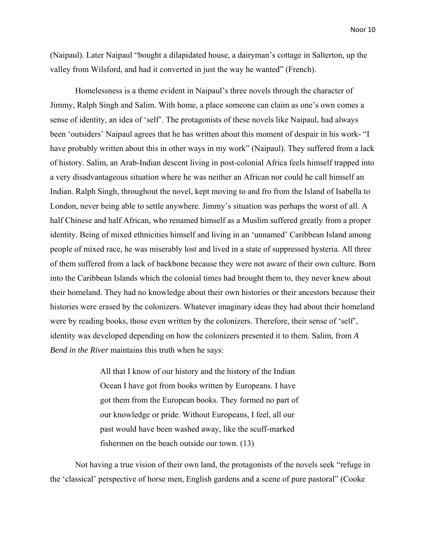(Naipaul). Later Naipaul "bought a dilapidated house, a dairyman's cottage in Salterton, up the valley from Wilsford, and had it converted in just the way he wanted" (French).

Homelessness is a theme evident in Naipaul's three novels through the character of Jimmy, Ralph Singh and Salim. With home, a place someone can claim as one's own comes a sense of identity, an idea of 'self'. The protagonists of these novels like Naipaul, had always been 'outsiders' Naipaul agrees that he has written about this moment of despair in his work- "I have probably written about this in other ways in my work" (Naipaul). They suffered from a lack of history. Salim, an Arab-Indian descent living in post-colonial Africa feels himself trapped into a very disadvantageous situation where he was neither an African nor could he call himself an Indian. Ralph Singh, throughout the novel, kept moving to and fro from the Island of Isabella to London, never being able to settle anywhere. Jimmy's situation was perhaps the worst of all. A half Chinese and half African, who renamed himself as a Muslim suffered greatly from a proper identity. Being of mixed ethnicities himself and living in an 'unnamed' Caribbean Island among people of mixed race, he was miserably lost and lived in a state of suppressed hysteria. All three of them suffered from a lack of backbone because they were not aware of their own culture. Born into the Caribbean Islands which the colonial times had brought them to, they never knew about their homeland. They had no knowledge about their own histories or their ancestors because their histories were erased by the colonizers. Whatever imaginary ideas they had about their homeland were by reading books, those even written by the colonizers. Therefore, their sense of 'self', identity was developed depending on how the colonizers presented it to them. Salim, from *A Bend in the River* maintains this truth when he says:

> All that I know of our history and the history of the Indian Ocean I have got from books written by Europeans. I have got them from the European books. They formed no part of our knowledge or pride. Without Europeans, I feel, all our past would have been washed away, like the scuff-marked fishermen on the beach outside our town. (13)

Not having a true vision of their own land, the protagonists of the novels seek "refuge in the 'classical' perspective of horse men, English gardens and a scene of pure pastoral" (Cooke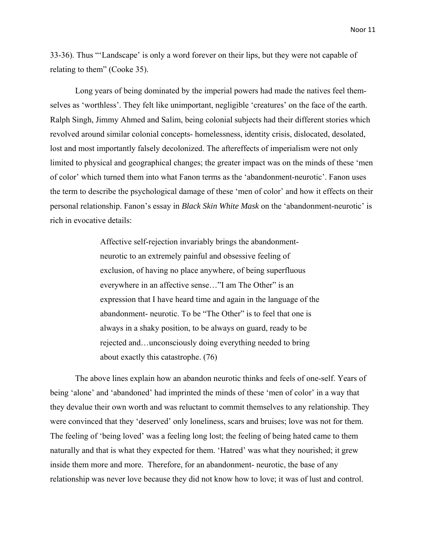33-36). Thus "'Landscape' is only a word forever on their lips, but they were not capable of

relating to them" (Cooke 35).

Long years of being dominated by the imperial powers had made the natives feel themselves as 'worthless'. They felt like unimportant, negligible 'creatures' on the face of the earth. Ralph Singh, Jimmy Ahmed and Salim, being colonial subjects had their different stories which revolved around similar colonial concepts- homelessness, identity crisis, dislocated, desolated, lost and most importantly falsely decolonized. The aftereffects of imperialism were not only limited to physical and geographical changes; the greater impact was on the minds of these 'men of color' which turned them into what Fanon terms as the 'abandonment-neurotic'. Fanon uses the term to describe the psychological damage of these 'men of color' and how it effects on their personal relationship. Fanon's essay in *Black Skin White Mask* on the 'abandonment-neurotic' is rich in evocative details:

> Affective self-rejection invariably brings the abandonmentneurotic to an extremely painful and obsessive feeling of exclusion, of having no place anywhere, of being superfluous everywhere in an affective sense…"I am The Other" is an expression that I have heard time and again in the language of the abandonment- neurotic. To be "The Other" is to feel that one is always in a shaky position, to be always on guard, ready to be rejected and…unconsciously doing everything needed to bring about exactly this catastrophe. (76)

The above lines explain how an abandon neurotic thinks and feels of one-self. Years of being 'alone' and 'abandoned' had imprinted the minds of these 'men of color' in a way that they devalue their own worth and was reluctant to commit themselves to any relationship. They were convinced that they 'deserved' only loneliness, scars and bruises; love was not for them. The feeling of 'being loved' was a feeling long lost; the feeling of being hated came to them naturally and that is what they expected for them. 'Hatred' was what they nourished; it grew inside them more and more. Therefore, for an abandonment- neurotic, the base of any relationship was never love because they did not know how to love; it was of lust and control.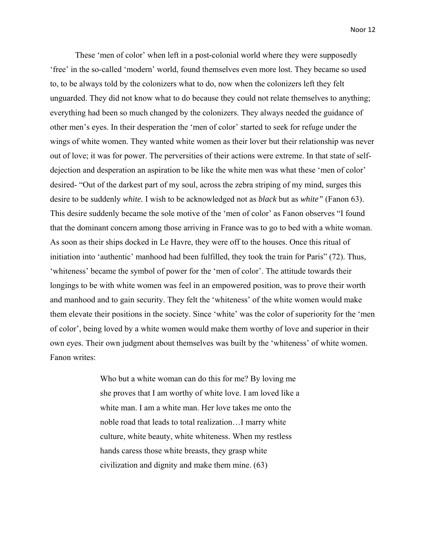These 'men of color' when left in a post-colonial world where they were supposedly 'free' in the so-called 'modern' world, found themselves even more lost. They became so used to, to be always told by the colonizers what to do, now when the colonizers left they felt unguarded. They did not know what to do because they could not relate themselves to anything; everything had been so much changed by the colonizers. They always needed the guidance of other men's eyes. In their desperation the 'men of color' started to seek for refuge under the wings of white women. They wanted white women as their lover but their relationship was never out of love; it was for power. The perversities of their actions were extreme. In that state of selfdejection and desperation an aspiration to be like the white men was what these 'men of color' desired- "Out of the darkest part of my soul, across the zebra striping of my mind, surges this desire to be suddenly *white.* I wish to be acknowledged not as *black* but as *white"* (Fanon 63). This desire suddenly became the sole motive of the 'men of color' as Fanon observes "I found that the dominant concern among those arriving in France was to go to bed with a white woman. As soon as their ships docked in Le Havre, they were off to the houses. Once this ritual of initiation into 'authentic' manhood had been fulfilled, they took the train for Paris" (72). Thus, 'whiteness' became the symbol of power for the 'men of color'. The attitude towards their longings to be with white women was feel in an empowered position, was to prove their worth and manhood and to gain security. They felt the 'whiteness' of the white women would make them elevate their positions in the society. Since 'white' was the color of superiority for the 'men of color', being loved by a white women would make them worthy of love and superior in their own eyes. Their own judgment about themselves was built by the 'whiteness' of white women. Fanon writes:

> Who but a white woman can do this for me? By loving me she proves that I am worthy of white love. I am loved like a white man. I am a white man. Her love takes me onto the noble road that leads to total realization…I marry white culture, white beauty, white whiteness. When my restless hands caress those white breasts, they grasp white civilization and dignity and make them mine. (63)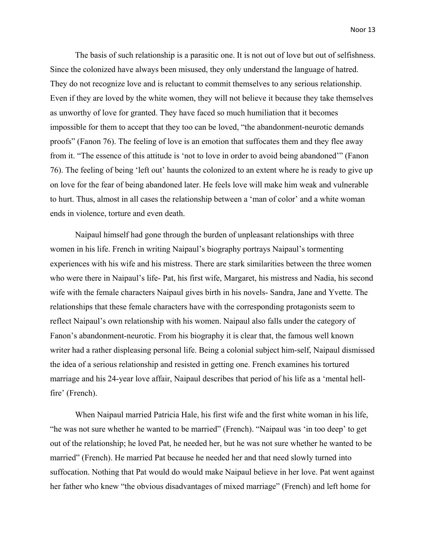The basis of such relationship is a parasitic one. It is not out of love but out of selfishness. Since the colonized have always been misused, they only understand the language of hatred. They do not recognize love and is reluctant to commit themselves to any serious relationship. Even if they are loved by the white women, they will not believe it because they take themselves as unworthy of love for granted. They have faced so much humiliation that it becomes impossible for them to accept that they too can be loved, "the abandonment-neurotic demands proofs" (Fanon 76). The feeling of love is an emotion that suffocates them and they flee away from it. "The essence of this attitude is 'not to love in order to avoid being abandoned'" (Fanon 76). The feeling of being 'left out' haunts the colonized to an extent where he is ready to give up on love for the fear of being abandoned later. He feels love will make him weak and vulnerable to hurt. Thus, almost in all cases the relationship between a 'man of color' and a white woman ends in violence, torture and even death.

Naipaul himself had gone through the burden of unpleasant relationships with three women in his life. French in writing Naipaul's biography portrays Naipaul's tormenting experiences with his wife and his mistress. There are stark similarities between the three women who were there in Naipaul's life- Pat, his first wife, Margaret, his mistress and Nadia, his second wife with the female characters Naipaul gives birth in his novels- Sandra, Jane and Yvette. The relationships that these female characters have with the corresponding protagonists seem to reflect Naipaul's own relationship with his women. Naipaul also falls under the category of Fanon's abandonment-neurotic. From his biography it is clear that, the famous well known writer had a rather displeasing personal life. Being a colonial subject him-self, Naipaul dismissed the idea of a serious relationship and resisted in getting one. French examines his tortured marriage and his 24-year love affair, Naipaul describes that period of his life as a 'mental hellfire' (French).

When Naipaul married Patricia Hale, his first wife and the first white woman in his life, "he was not sure whether he wanted to be married" (French). "Naipaul was 'in too deep' to get out of the relationship; he loved Pat, he needed her, but he was not sure whether he wanted to be married" (French). He married Pat because he needed her and that need slowly turned into suffocation. Nothing that Pat would do would make Naipaul believe in her love. Pat went against her father who knew "the obvious disadvantages of mixed marriage" (French) and left home for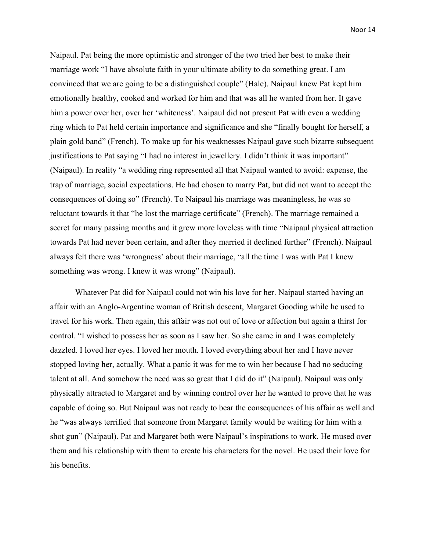Naipaul. Pat being the more optimistic and stronger of the two tried her best to make their marriage work "I have absolute faith in your ultimate ability to do something great. I am convinced that we are going to be a distinguished couple" (Hale). Naipaul knew Pat kept him emotionally healthy, cooked and worked for him and that was all he wanted from her. It gave him a power over her, over her 'whiteness'. Naipaul did not present Pat with even a wedding ring which to Pat held certain importance and significance and she "finally bought for herself, a plain gold band" (French). To make up for his weaknesses Naipaul gave such bizarre subsequent justifications to Pat saying "I had no interest in jewellery. I didn't think it was important" (Naipaul). In reality "a wedding ring represented all that Naipaul wanted to avoid: expense, the trap of marriage, social expectations. He had chosen to marry Pat, but did not want to accept the consequences of doing so" (French). To Naipaul his marriage was meaningless, he was so reluctant towards it that "he lost the marriage certificate" (French). The marriage remained a secret for many passing months and it grew more loveless with time "Naipaul physical attraction towards Pat had never been certain, and after they married it declined further" (French). Naipaul always felt there was 'wrongness' about their marriage, "all the time I was with Pat I knew something was wrong. I knew it was wrong" (Naipaul).

Whatever Pat did for Naipaul could not win his love for her. Naipaul started having an affair with an Anglo-Argentine woman of British descent, Margaret Gooding while he used to travel for his work. Then again, this affair was not out of love or affection but again a thirst for control. "I wished to possess her as soon as I saw her. So she came in and I was completely dazzled. I loved her eyes. I loved her mouth. I loved everything about her and I have never stopped loving her, actually. What a panic it was for me to win her because I had no seducing talent at all. And somehow the need was so great that I did do it" (Naipaul). Naipaul was only physically attracted to Margaret and by winning control over her he wanted to prove that he was capable of doing so. But Naipaul was not ready to bear the consequences of his affair as well and he "was always terrified that someone from Margaret family would be waiting for him with a shot gun" (Naipaul). Pat and Margaret both were Naipaul's inspirations to work. He mused over them and his relationship with them to create his characters for the novel. He used their love for his benefits.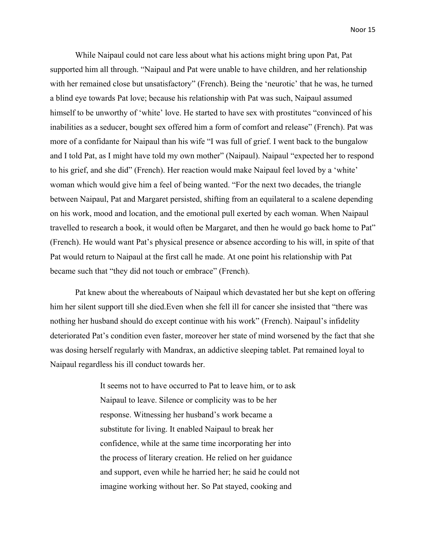While Naipaul could not care less about what his actions might bring upon Pat, Pat supported him all through. "Naipaul and Pat were unable to have children, and her relationship with her remained close but unsatisfactory" (French). Being the 'neurotic' that he was, he turned a blind eye towards Pat love; because his relationship with Pat was such, Naipaul assumed himself to be unworthy of 'white' love. He started to have sex with prostitutes "convinced of his inabilities as a seducer, bought sex offered him a form of comfort and release" (French). Pat was more of a confidante for Naipaul than his wife "I was full of grief. I went back to the bungalow and I told Pat, as I might have told my own mother" (Naipaul). Naipaul "expected her to respond to his grief, and she did" (French). Her reaction would make Naipaul feel loved by a 'white' woman which would give him a feel of being wanted. "For the next two decades, the triangle between Naipaul, Pat and Margaret persisted, shifting from an equilateral to a scalene depending on his work, mood and location, and the emotional pull exerted by each woman. When Naipaul travelled to research a book, it would often be Margaret, and then he would go back home to Pat" (French). He would want Pat's physical presence or absence according to his will, in spite of that Pat would return to Naipaul at the first call he made. At one point his relationship with Pat became such that "they did not touch or embrace" (French).

Pat knew about the whereabouts of Naipaul which devastated her but she kept on offering him her silent support till she died.Even when she fell ill for cancer she insisted that "there was nothing her husband should do except continue with his work" (French). Naipaul's infidelity deteriorated Pat's condition even faster, moreover her state of mind worsened by the fact that she was dosing herself regularly with Mandrax, an addictive sleeping tablet. Pat remained loyal to Naipaul regardless his ill conduct towards her.

> It seems not to have occurred to Pat to leave him, or to ask Naipaul to leave. Silence or complicity was to be her response. Witnessing her husband's work became a substitute for living. It enabled Naipaul to break her confidence, while at the same time incorporating her into the process of literary creation. He relied on her guidance and support, even while he harried her; he said he could not imagine working without her. So Pat stayed, cooking and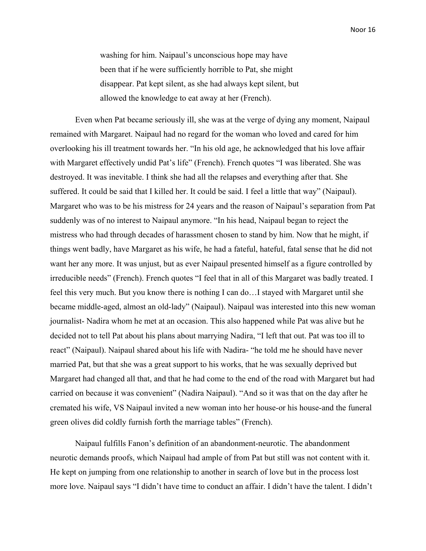washing for him. Naipaul's unconscious hope may have been that if he were sufficiently horrible to Pat, she might disappear. Pat kept silent, as she had always kept silent, but allowed the knowledge to eat away at her (French).

Even when Pat became seriously ill, she was at the verge of dying any moment, Naipaul remained with Margaret. Naipaul had no regard for the woman who loved and cared for him overlooking his ill treatment towards her. "In his old age, he acknowledged that his love affair with Margaret effectively undid Pat's life" (French). French quotes "I was liberated. She was destroyed. It was inevitable. I think she had all the relapses and everything after that. She suffered. It could be said that I killed her. It could be said. I feel a little that way" (Naipaul). Margaret who was to be his mistress for 24 years and the reason of Naipaul's separation from Pat suddenly was of no interest to Naipaul anymore. "In his head, Naipaul began to reject the mistress who had through decades of harassment chosen to stand by him. Now that he might, if things went badly, have Margaret as his wife, he had a fateful, hateful, fatal sense that he did not want her any more. It was unjust, but as ever Naipaul presented himself as a figure controlled by irreducible needs" (French). French quotes "I feel that in all of this Margaret was badly treated. I feel this very much. But you know there is nothing I can do…I stayed with Margaret until she became middle-aged, almost an old-lady" (Naipaul). Naipaul was interested into this new woman journalist- Nadira whom he met at an occasion. This also happened while Pat was alive but he decided not to tell Pat about his plans about marrying Nadira, "I left that out. Pat was too ill to react" (Naipaul). Naipaul shared about his life with Nadira- "he told me he should have never married Pat, but that she was a great support to his works, that he was sexually deprived but Margaret had changed all that, and that he had come to the end of the road with Margaret but had carried on because it was convenient" (Nadira Naipaul). "And so it was that on the day after he cremated his wife, VS Naipaul invited a new woman into her house-or his house-and the funeral green olives did coldly furnish forth the marriage tables" (French).

Naipaul fulfills Fanon's definition of an abandonment-neurotic. The abandonment neurotic demands proofs, which Naipaul had ample of from Pat but still was not content with it. He kept on jumping from one relationship to another in search of love but in the process lost more love. Naipaul says "I didn't have time to conduct an affair. I didn't have the talent. I didn't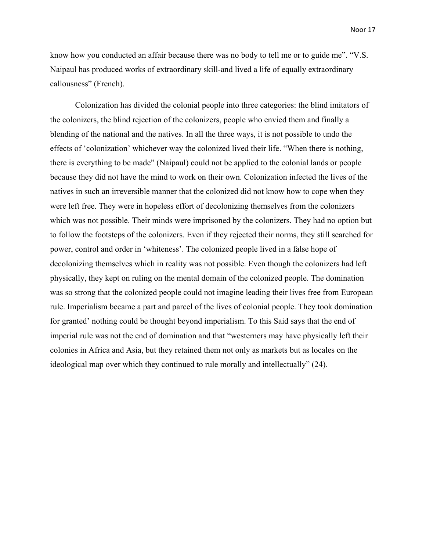know how you conducted an affair because there was no body to tell me or to guide me". "V.S. Naipaul has produced works of extraordinary skill-and lived a life of equally extraordinary callousness" (French).

Colonization has divided the colonial people into three categories: the blind imitators of the colonizers, the blind rejection of the colonizers, people who envied them and finally a blending of the national and the natives. In all the three ways, it is not possible to undo the effects of 'colonization' whichever way the colonized lived their life. "When there is nothing, there is everything to be made" (Naipaul) could not be applied to the colonial lands or people because they did not have the mind to work on their own. Colonization infected the lives of the natives in such an irreversible manner that the colonized did not know how to cope when they were left free. They were in hopeless effort of decolonizing themselves from the colonizers which was not possible. Their minds were imprisoned by the colonizers. They had no option but to follow the footsteps of the colonizers. Even if they rejected their norms, they still searched for power, control and order in 'whiteness'. The colonized people lived in a false hope of decolonizing themselves which in reality was not possible. Even though the colonizers had left physically, they kept on ruling on the mental domain of the colonized people. The domination was so strong that the colonized people could not imagine leading their lives free from European rule. Imperialism became a part and parcel of the lives of colonial people. They took domination for granted' nothing could be thought beyond imperialism. To this Said says that the end of imperial rule was not the end of domination and that "westerners may have physically left their colonies in Africa and Asia, but they retained them not only as markets but as locales on the ideological map over which they continued to rule morally and intellectually" (24).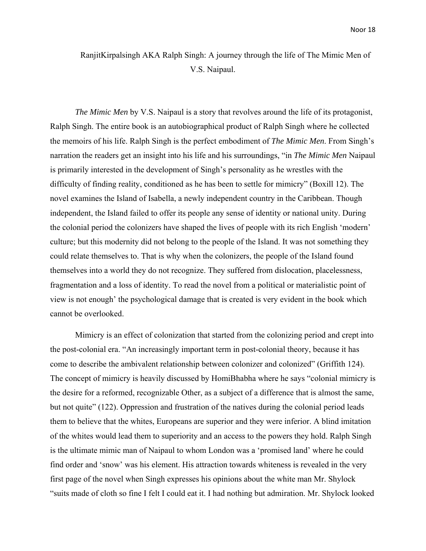### RanjitKirpalsingh AKA Ralph Singh: A journey through the life of The Mimic Men of V.S. Naipaul.

*The Mimic Men* by V.S. Naipaul is a story that revolves around the life of its protagonist, Ralph Singh. The entire book is an autobiographical product of Ralph Singh where he collected the memoirs of his life. Ralph Singh is the perfect embodiment of *The Mimic Men*. From Singh's narration the readers get an insight into his life and his surroundings, "in *The Mimic Men* Naipaul is primarily interested in the development of Singh's personality as he wrestles with the difficulty of finding reality, conditioned as he has been to settle for mimicry" (Boxill 12). The novel examines the Island of Isabella, a newly independent country in the Caribbean. Though independent, the Island failed to offer its people any sense of identity or national unity. During the colonial period the colonizers have shaped the lives of people with its rich English 'modern' culture; but this modernity did not belong to the people of the Island. It was not something they could relate themselves to. That is why when the colonizers, the people of the Island found themselves into a world they do not recognize. They suffered from dislocation, placelessness, fragmentation and a loss of identity. To read the novel from a political or materialistic point of view is not enough' the psychological damage that is created is very evident in the book which cannot be overlooked.

Mimicry is an effect of colonization that started from the colonizing period and crept into the post-colonial era. "An increasingly important term in post-colonial theory, because it has come to describe the ambivalent relationship between colonizer and colonized" (Griffith 124). The concept of mimicry is heavily discussed by HomiBhabha where he says "colonial mimicry is the desire for a reformed, recognizable Other, as a subject of a difference that is almost the same, but not quite" (122). Oppression and frustration of the natives during the colonial period leads them to believe that the whites, Europeans are superior and they were inferior. A blind imitation of the whites would lead them to superiority and an access to the powers they hold. Ralph Singh is the ultimate mimic man of Naipaul to whom London was a 'promised land' where he could find order and 'snow' was his element. His attraction towards whiteness is revealed in the very first page of the novel when Singh expresses his opinions about the white man Mr. Shylock "suits made of cloth so fine I felt I could eat it. I had nothing but admiration. Mr. Shylock looked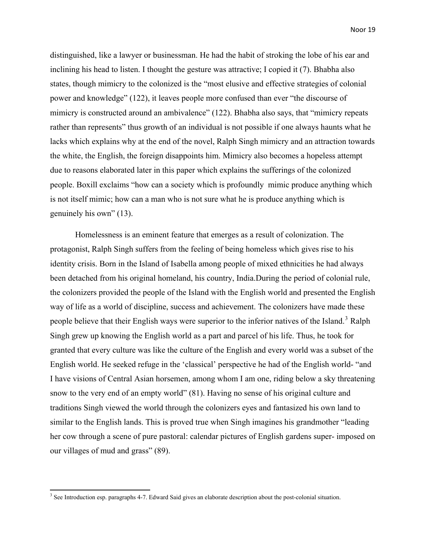distinguished, like a lawyer or businessman. He had the habit of stroking the lobe of his ear and inclining his head to listen. I thought the gesture was attractive; I copied it (7). Bhabha also states, though mimicry to the colonized is the "most elusive and effective strategies of colonial power and knowledge" (122), it leaves people more confused than ever "the discourse of mimicry is constructed around an ambivalence" (122). Bhabha also says, that "mimicry repeats rather than represents" thus growth of an individual is not possible if one always haunts what he lacks which explains why at the end of the novel, Ralph Singh mimicry and an attraction towards the white, the English, the foreign disappoints him. Mimicry also becomes a hopeless attempt due to reasons elaborated later in this paper which explains the sufferings of the colonized people. Boxill exclaims "how can a society which is profoundly mimic produce anything which is not itself mimic; how can a man who is not sure what he is produce anything which is genuinely his own" (13).

Homelessness is an eminent feature that emerges as a result of colonization. The protagonist, Ralph Singh suffers from the feeling of being homeless which gives rise to his identity crisis. Born in the Island of Isabella among people of mixed ethnicities he had always been detached from his original homeland, his country, India.During the period of colonial rule, the colonizers provided the people of the Island with the English world and presented the English way of life as a world of discipline, success and achievement. The colonizers have made these people believe that their English ways were superior to the inferior natives of the Island.<sup>[3](#page-23-0)</sup> Ralph Singh grew up knowing the English world as a part and parcel of his life. Thus, he took for granted that every culture was like the culture of the English and every world was a subset of the English world. He seeked refuge in the 'classical' perspective he had of the English world- "and I have visions of Central Asian horsemen, among whom I am one, riding below a sky threatening snow to the very end of an empty world" (81). Having no sense of his original culture and traditions Singh viewed the world through the colonizers eyes and fantasized his own land to similar to the English lands. This is proved true when Singh imagines his grandmother "leading her cow through a scene of pure pastoral: calendar pictures of English gardens super- imposed on our villages of mud and grass" (89).

<span id="page-23-0"></span><sup>&</sup>lt;sup>3</sup> See Introduction esp. paragraphs 4-7. Edward Said gives an elaborate description about the post-colonial situation.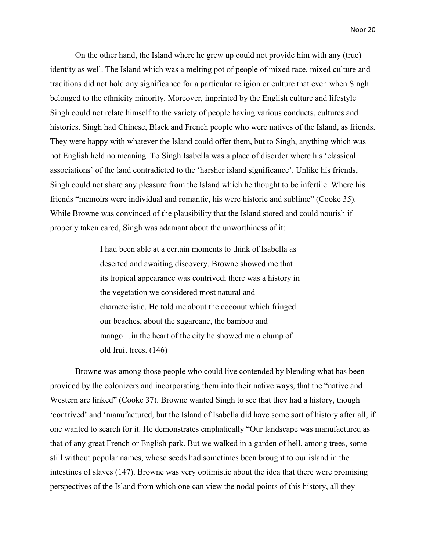On the other hand, the Island where he grew up could not provide him with any (true) identity as well. The Island which was a melting pot of people of mixed race, mixed culture and traditions did not hold any significance for a particular religion or culture that even when Singh belonged to the ethnicity minority. Moreover, imprinted by the English culture and lifestyle Singh could not relate himself to the variety of people having various conducts, cultures and histories. Singh had Chinese, Black and French people who were natives of the Island, as friends. They were happy with whatever the Island could offer them, but to Singh, anything which was not English held no meaning. To Singh Isabella was a place of disorder where his 'classical associations' of the land contradicted to the 'harsher island significance'. Unlike his friends, Singh could not share any pleasure from the Island which he thought to be infertile. Where his friends "memoirs were individual and romantic, his were historic and sublime" (Cooke 35). While Browne was convinced of the plausibility that the Island stored and could nourish if properly taken cared, Singh was adamant about the unworthiness of it:

> I had been able at a certain moments to think of Isabella as deserted and awaiting discovery. Browne showed me that its tropical appearance was contrived; there was a history in the vegetation we considered most natural and characteristic. He told me about the coconut which fringed our beaches, about the sugarcane, the bamboo and mango…in the heart of the city he showed me a clump of old fruit trees. (146)

Browne was among those people who could live contended by blending what has been provided by the colonizers and incorporating them into their native ways, that the "native and Western are linked" (Cooke 37). Browne wanted Singh to see that they had a history, though 'contrived' and 'manufactured, but the Island of Isabella did have some sort of history after all, if one wanted to search for it. He demonstrates emphatically "Our landscape was manufactured as that of any great French or English park. But we walked in a garden of hell, among trees, some still without popular names, whose seeds had sometimes been brought to our island in the intestines of slaves (147). Browne was very optimistic about the idea that there were promising perspectives of the Island from which one can view the nodal points of this history, all they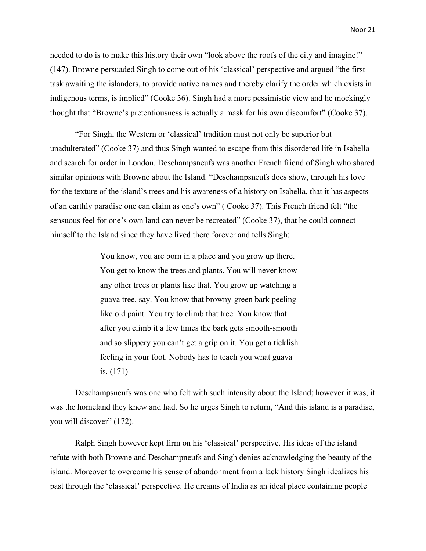needed to do is to make this history their own "look above the roofs of the city and imagine!" (147). Browne persuaded Singh to come out of his 'classical' perspective and argued "the first task awaiting the islanders, to provide native names and thereby clarify the order which exists in indigenous terms, is implied" (Cooke 36). Singh had a more pessimistic view and he mockingly thought that "Browne's pretentiousness is actually a mask for his own discomfort" (Cooke 37).

"For Singh, the Western or 'classical' tradition must not only be superior but unadulterated" (Cooke 37) and thus Singh wanted to escape from this disordered life in Isabella and search for order in London. Deschampsneufs was another French friend of Singh who shared similar opinions with Browne about the Island. "Deschampsneufs does show, through his love for the texture of the island's trees and his awareness of a history on Isabella, that it has aspects of an earthly paradise one can claim as one's own" ( Cooke 37). This French friend felt "the sensuous feel for one's own land can never be recreated" (Cooke 37), that he could connect himself to the Island since they have lived there forever and tells Singh:

> You know, you are born in a place and you grow up there. You get to know the trees and plants. You will never know any other trees or plants like that. You grow up watching a guava tree, say. You know that browny-green bark peeling like old paint. You try to climb that tree. You know that after you climb it a few times the bark gets smooth-smooth and so slippery you can't get a grip on it. You get a ticklish feeling in your foot. Nobody has to teach you what guava is. (171)

Deschampsneufs was one who felt with such intensity about the Island; however it was, it was the homeland they knew and had. So he urges Singh to return, "And this island is a paradise, you will discover" (172).

Ralph Singh however kept firm on his 'classical' perspective. His ideas of the island refute with both Browne and Deschampneufs and Singh denies acknowledging the beauty of the island. Moreover to overcome his sense of abandonment from a lack history Singh idealizes his past through the 'classical' perspective. He dreams of India as an ideal place containing people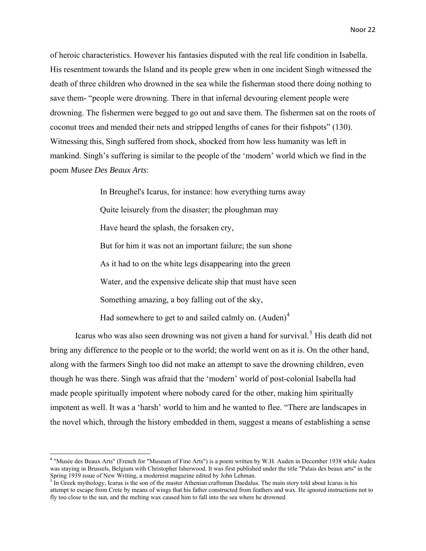of heroic characteristics. However his fantasies disputed with the real life condition in Isabella. His resentment towards the Island and its people grew when in one incident Singh witnessed the death of three children who drowned in the sea while the fisherman stood there doing nothing to save them- "people were drowning. There in that infernal devouring element people were drowning. The fishermen were begged to go out and save them. The fishermen sat on the roots of coconut trees and mended their nets and stripped lengths of canes for their fishpots" (130). Witnessing this, Singh suffered from shock, shocked from how less humanity was left in mankind. Singh's suffering is similar to the people of the 'modern' world which we find in the poem *Musee Des Beaux Arts*:

> In Breughel's Icarus, for instance: how everything turns away Quite leisurely from the disaster; the ploughman may Have heard the splash, the forsaken cry, But for him it was not an important failure; the sun shone As it had to on the white legs disappearing into the green Water, and the expensive delicate ship that must have seen Something amazing, a boy falling out of the sky, Had somewhere to get to and sailed calmly on.  $(Auden)^4$  $(Auden)^4$

Icarus who was also seen drowning was not given a hand for survival.<sup>[5](#page-26-1)</sup> His death did not bring any difference to the people or to the world; the world went on as it is. On the other hand, along with the farmers Singh too did not make an attempt to save the drowning children, even though he was there. Singh was afraid that the 'modern' world of post-colonial Isabella had made people spiritually impotent where nobody cared for the other, making him spiritually impotent as well. It was a 'harsh' world to him and he wanted to flee. "There are landscapes in the novel which, through the history embedded in them, suggest a means of establishing a sense

<span id="page-26-0"></span><sup>4</sup> "Musée des Beaux Arts" (French for "Museum of Fine Arts") is a poem written by W.H. Auden in December 1938 while Auden was staying in Brussels, Belgium with Christopher Isherwood. It was first published under the title "Palais des beaux arts" in the Spring 1939 issue of New Writing, a modernist magazine edited by John Lehman.<br><sup>5</sup> In Greek mythology, Icarus is the son of the master Athenian craftsman Daedalus. The main story told about Icarus is his

<span id="page-26-1"></span>attempt to escape from Crete by means of wings that his father constructed from feathers and wax. He ignored instructions not to fly too close to the sun, and the melting wax caused him to fall into the sea where he drowned.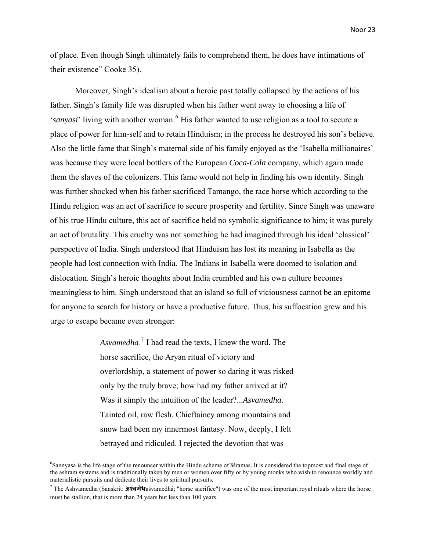of place. Even though Singh ultimately fails to comprehend them, he does have intimations of their existence" Cooke 35).

Moreover, Singh's idealism about a heroic past totally collapsed by the actions of his father. Singh's family life was disrupted when his father went away to choosing a life of 'sanyasi' living with another woman.<sup>[6](#page-27-0)</sup> His father wanted to use religion as a tool to secure a place of power for him-self and to retain Hinduism; in the process he destroyed his son's believe. Also the little fame that Singh's maternal side of his family enjoyed as the 'Isabella millionaires' was because they were local bottlers of the European *Coca-Cola* company, which again made them the slaves of the colonizers. This fame would not help in finding his own identity. Singh was further shocked when his father sacrificed Tamango, the race horse which according to the Hindu religion was an act of sacrifice to secure prosperity and fertility. Since Singh was unaware of his true Hindu culture, this act of sacrifice held no symbolic significance to him; it was purely an act of brutality. This cruelty was not something he had imagined through his ideal 'classical' perspective of India. Singh understood that Hinduism has lost its meaning in Isabella as the people had lost connection with India. The Indians in Isabella were doomed to isolation and dislocation. Singh's heroic thoughts about India crumbled and his own culture becomes meaningless to him. Singh understood that an island so full of viciousness cannot be an epitome for anyone to search for history or have a productive future. Thus, his suffocation grew and his urge to escape became even stronger:

> *Asvamedha*. [7](#page-27-1) I had read the texts, I knew the word. The horse sacrifice, the Aryan ritual of victory and overlordship, a statement of power so daring it was risked only by the truly brave; how had my father arrived at it? Was it simply the intuition of the leader?...*Asvamedha*. Tainted oil, raw flesh. Chieftaincy among mountains and snow had been my innermost fantasy. Now, deeply, I felt betrayed and ridiculed. I rejected the devotion that was

<span id="page-27-0"></span><sup>&</sup>lt;sup>6</sup>Sannyasa is the life stage of the renouncer within the Hindu scheme of asramas. It is considered the topmost and final stage of the ashram systems and is traditionally taken by men or women over fifty or by young monks who wish to renounce worldly and materialistic pursuits and dedicate their lives to spiritual pursuits.

<span id="page-27-1"></span><sup>7</sup> The Ashvamedha (Sanskrit: **अæवमेध**aśvamedhá; "horse sacrifice") was one of the most important royal rituals where the horse must be stallion, that is more than 24 years but less than 100 years.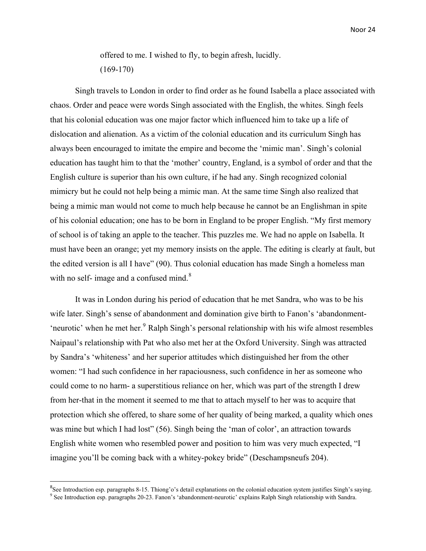offered to me. I wished to fly, to begin afresh, lucidly. (169-170)

Singh travels to London in order to find order as he found Isabella a place associated with chaos. Order and peace were words Singh associated with the English, the whites. Singh feels that his colonial education was one major factor which influenced him to take up a life of dislocation and alienation. As a victim of the colonial education and its curriculum Singh has always been encouraged to imitate the empire and become the 'mimic man'. Singh's colonial education has taught him to that the 'mother' country, England, is a symbol of order and that the English culture is superior than his own culture, if he had any. Singh recognized colonial mimicry but he could not help being a mimic man. At the same time Singh also realized that being a mimic man would not come to much help because he cannot be an Englishman in spite of his colonial education; one has to be born in England to be proper English. "My first memory of school is of taking an apple to the teacher. This puzzles me. We had no apple on Isabella. It must have been an orange; yet my memory insists on the apple. The editing is clearly at fault, but the edited version is all I have" (90). Thus colonial education has made Singh a homeless man with no self- image and a confused mind. $8$ 

It was in London during his period of education that he met Sandra, who was to be his wife later. Singh's sense of abandonment and domination give birth to Fanon's 'abandonment- 'neurotic' when he met her.<sup>[9](#page-28-1)</sup> Ralph Singh's personal relationship with his wife almost resembles Naipaul's relationship with Pat who also met her at the Oxford University. Singh was attracted by Sandra's 'whiteness' and her superior attitudes which distinguished her from the other women: "I had such confidence in her rapaciousness, such confidence in her as someone who could come to no harm- a superstitious reliance on her, which was part of the strength I drew from her-that in the moment it seemed to me that to attach myself to her was to acquire that protection which she offered, to share some of her quality of being marked, a quality which ones was mine but which I had lost" (56). Singh being the 'man of color', an attraction towards English white women who resembled power and position to him was very much expected, "I imagine you'll be coming back with a whitey-pokey bride" (Deschampsneufs 204).

<span id="page-28-0"></span><sup>&</sup>lt;sup>8</sup>See Introduction esp. paragraphs 8-15. Thiong'o's detail explanations on the colonial education system justifies Singh's saying.<br><sup>9</sup>See Introduction esp. paragraphs 20.23. Ennoy's 'ebandonment peuratio' explains Polph

<span id="page-28-1"></span><sup>&</sup>lt;sup>9</sup> See Introduction esp. paragraphs 20-23. Fanon's 'abandonment-neurotic' explains Ralph Singh relationship with Sandra.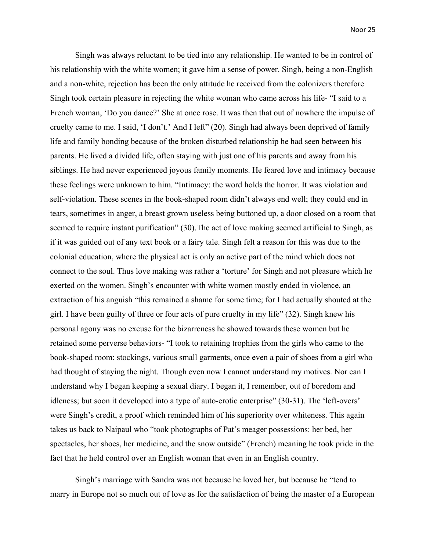Singh was always reluctant to be tied into any relationship. He wanted to be in control of his relationship with the white women; it gave him a sense of power. Singh, being a non-English and a non-white, rejection has been the only attitude he received from the colonizers therefore Singh took certain pleasure in rejecting the white woman who came across his life- "I said to a French woman, 'Do you dance?' She at once rose. It was then that out of nowhere the impulse of cruelty came to me. I said, 'I don't.' And I left" (20). Singh had always been deprived of family life and family bonding because of the broken disturbed relationship he had seen between his parents. He lived a divided life, often staying with just one of his parents and away from his siblings. He had never experienced joyous family moments. He feared love and intimacy because these feelings were unknown to him. "Intimacy: the word holds the horror. It was violation and self-violation. These scenes in the book-shaped room didn't always end well; they could end in tears, sometimes in anger, a breast grown useless being buttoned up, a door closed on a room that seemed to require instant purification" (30). The act of love making seemed artificial to Singh, as if it was guided out of any text book or a fairy tale. Singh felt a reason for this was due to the colonial education, where the physical act is only an active part of the mind which does not connect to the soul. Thus love making was rather a 'torture' for Singh and not pleasure which he exerted on the women. Singh's encounter with white women mostly ended in violence, an extraction of his anguish "this remained a shame for some time; for I had actually shouted at the girl. I have been guilty of three or four acts of pure cruelty in my life" (32). Singh knew his personal agony was no excuse for the bizarreness he showed towards these women but he retained some perverse behaviors- "I took to retaining trophies from the girls who came to the book-shaped room: stockings, various small garments, once even a pair of shoes from a girl who had thought of staying the night. Though even now I cannot understand my motives. Nor can I understand why I began keeping a sexual diary. I began it, I remember, out of boredom and idleness; but soon it developed into a type of auto-erotic enterprise" (30-31). The 'left-overs' were Singh's credit, a proof which reminded him of his superiority over whiteness. This again takes us back to Naipaul who "took photographs of Pat's meager possessions: her bed, her spectacles, her shoes, her medicine, and the snow outside" (French) meaning he took pride in the fact that he held control over an English woman that even in an English country.

Singh's marriage with Sandra was not because he loved her, but because he "tend to marry in Europe not so much out of love as for the satisfaction of being the master of a European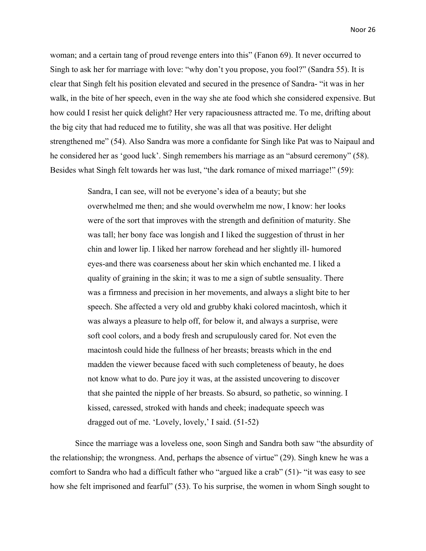woman; and a certain tang of proud revenge enters into this" (Fanon 69). It never occurred to Singh to ask her for marriage with love: "why don't you propose, you fool?" (Sandra 55). It is clear that Singh felt his position elevated and secured in the presence of Sandra- "it was in her walk, in the bite of her speech, even in the way she ate food which she considered expensive. But how could I resist her quick delight? Her very rapaciousness attracted me. To me, drifting about the big city that had reduced me to futility, she was all that was positive. Her delight strengthened me" (54). Also Sandra was more a confidante for Singh like Pat was to Naipaul and he considered her as 'good luck'. Singh remembers his marriage as an "absurd ceremony" (58). Besides what Singh felt towards her was lust, "the dark romance of mixed marriage!" (59):

> Sandra, I can see, will not be everyone's idea of a beauty; but she overwhelmed me then; and she would overwhelm me now, I know: her looks were of the sort that improves with the strength and definition of maturity. She was tall; her bony face was longish and I liked the suggestion of thrust in her chin and lower lip. I liked her narrow forehead and her slightly ill- humored eyes-and there was coarseness about her skin which enchanted me. I liked a quality of graining in the skin; it was to me a sign of subtle sensuality. There was a firmness and precision in her movements, and always a slight bite to her speech. She affected a very old and grubby khaki colored macintosh, which it was always a pleasure to help off, for below it, and always a surprise, were soft cool colors, and a body fresh and scrupulously cared for. Not even the macintosh could hide the fullness of her breasts; breasts which in the end madden the viewer because faced with such completeness of beauty, he does not know what to do. Pure joy it was, at the assisted uncovering to discover that she painted the nipple of her breasts. So absurd, so pathetic, so winning. I kissed, caressed, stroked with hands and cheek; inadequate speech was dragged out of me. 'Lovely, lovely,' I said. (51-52)

Since the marriage was a loveless one, soon Singh and Sandra both saw "the absurdity of the relationship; the wrongness. And, perhaps the absence of virtue" (29). Singh knew he was a comfort to Sandra who had a difficult father who "argued like a crab" (51)- "it was easy to see how she felt imprisoned and fearful" (53). To his surprise, the women in whom Singh sought to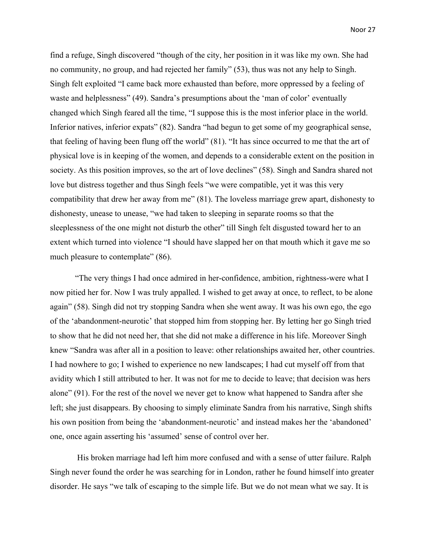find a refuge, Singh discovered "though of the city, her position in it was like my own. She had no community, no group, and had rejected her family" (53), thus was not any help to Singh. Singh felt exploited "I came back more exhausted than before, more oppressed by a feeling of waste and helplessness" (49). Sandra's presumptions about the 'man of color' eventually changed which Singh feared all the time, "I suppose this is the most inferior place in the world. Inferior natives, inferior expats" (82). Sandra "had begun to get some of my geographical sense, that feeling of having been flung off the world" (81). "It has since occurred to me that the art of physical love is in keeping of the women, and depends to a considerable extent on the position in society. As this position improves, so the art of love declines" (58). Singh and Sandra shared not love but distress together and thus Singh feels "we were compatible, yet it was this very compatibility that drew her away from me" (81). The loveless marriage grew apart, dishonesty to dishonesty, unease to unease, "we had taken to sleeping in separate rooms so that the sleeplessness of the one might not disturb the other" till Singh felt disgusted toward her to an extent which turned into violence "I should have slapped her on that mouth which it gave me so much pleasure to contemplate" (86).

"The very things I had once admired in her-confidence, ambition, rightness-were what I now pitied her for. Now I was truly appalled. I wished to get away at once, to reflect, to be alone again" (58). Singh did not try stopping Sandra when she went away. It was his own ego, the ego of the 'abandonment-neurotic' that stopped him from stopping her. By letting her go Singh tried to show that he did not need her, that she did not make a difference in his life. Moreover Singh knew "Sandra was after all in a position to leave: other relationships awaited her, other countries. I had nowhere to go; I wished to experience no new landscapes; I had cut myself off from that avidity which I still attributed to her. It was not for me to decide to leave; that decision was hers alone" (91). For the rest of the novel we never get to know what happened to Sandra after she left; she just disappears. By choosing to simply eliminate Sandra from his narrative, Singh shifts his own position from being the 'abandonment-neurotic' and instead makes her the 'abandoned' one, once again asserting his 'assumed' sense of control over her.

 His broken marriage had left him more confused and with a sense of utter failure. Ralph Singh never found the order he was searching for in London, rather he found himself into greater disorder. He says "we talk of escaping to the simple life. But we do not mean what we say. It is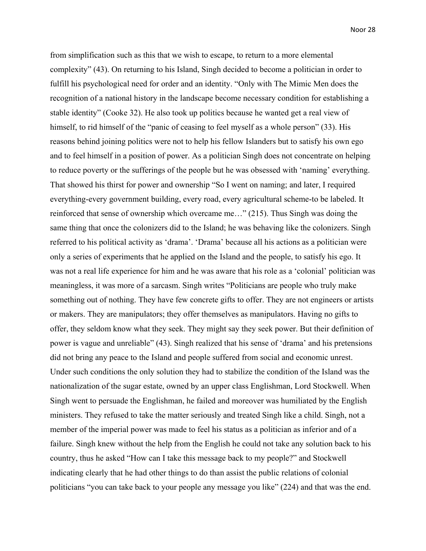from simplification such as this that we wish to escape, to return to a more elemental complexity" (43). On returning to his Island, Singh decided to become a politician in order to fulfill his psychological need for order and an identity. "Only with The Mimic Men does the recognition of a national history in the landscape become necessary condition for establishing a stable identity" (Cooke 32). He also took up politics because he wanted get a real view of himself, to rid himself of the "panic of ceasing to feel myself as a whole person" (33). His reasons behind joining politics were not to help his fellow Islanders but to satisfy his own ego and to feel himself in a position of power. As a politician Singh does not concentrate on helping to reduce poverty or the sufferings of the people but he was obsessed with 'naming' everything. That showed his thirst for power and ownership "So I went on naming; and later, I required everything-every government building, every road, every agricultural scheme-to be labeled. It reinforced that sense of ownership which overcame me…" (215). Thus Singh was doing the same thing that once the colonizers did to the Island; he was behaving like the colonizers. Singh referred to his political activity as 'drama'. 'Drama' because all his actions as a politician were only a series of experiments that he applied on the Island and the people, to satisfy his ego. It was not a real life experience for him and he was aware that his role as a 'colonial' politician was meaningless, it was more of a sarcasm. Singh writes "Politicians are people who truly make something out of nothing. They have few concrete gifts to offer. They are not engineers or artists or makers. They are manipulators; they offer themselves as manipulators. Having no gifts to offer, they seldom know what they seek. They might say they seek power. But their definition of power is vague and unreliable" (43). Singh realized that his sense of 'drama' and his pretensions did not bring any peace to the Island and people suffered from social and economic unrest. Under such conditions the only solution they had to stabilize the condition of the Island was the nationalization of the sugar estate, owned by an upper class Englishman, Lord Stockwell. When Singh went to persuade the Englishman, he failed and moreover was humiliated by the English ministers. They refused to take the matter seriously and treated Singh like a child. Singh, not a member of the imperial power was made to feel his status as a politician as inferior and of a failure. Singh knew without the help from the English he could not take any solution back to his country, thus he asked "How can I take this message back to my people?" and Stockwell indicating clearly that he had other things to do than assist the public relations of colonial politicians "you can take back to your people any message you like" (224) and that was the end.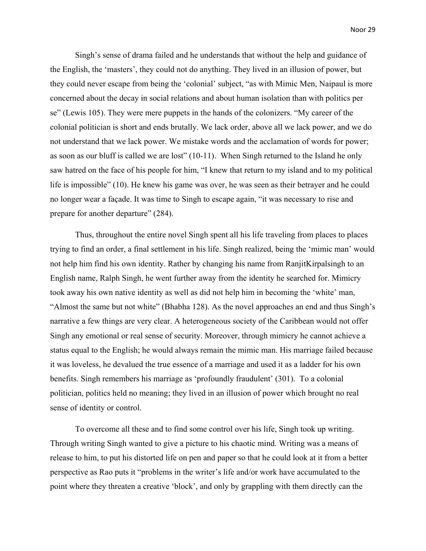Singh's sense of drama failed and he understands that without the help and guidance of the English, the 'masters', they could not do anything. They lived in an illusion of power, but they could never escape from being the 'colonial' subject, "as with Mimic Men, Naipaul is more concerned about the decay in social relations and about human isolation than with politics per se" (Lewis 105). They were mere puppets in the hands of the colonizers. "My career of the colonial politician is short and ends brutally. We lack order, above all we lack power, and we do not understand that we lack power. We mistake words and the acclamation of words for power; as soon as our bluff is called we are lost" (10-11). When Singh returned to the Island he only saw hatred on the face of his people for him, "I knew that return to my island and to my political life is impossible" (10). He knew his game was over, he was seen as their betrayer and he could no longer wear a façade. It was time to Singh to escape again, "it was necessary to rise and prepare for another departure" (284).

Thus, throughout the entire novel Singh spent all his life traveling from places to places trying to find an order, a final settlement in his life. Singh realized, being the 'mimic man' would not help him find his own identity. Rather by changing his name from RanjitKirpalsingh to an English name, Ralph Singh, he went further away from the identity he searched for. Mimicry took away his own native identity as well as did not help him in becoming the 'white' man, "Almost the same but not white" (Bhabha 128). As the novel approaches an end and thus Singh's narrative a few things are very clear. A heterogeneous society of the Caribbean would not offer Singh any emotional or real sense of security. Moreover, through mimicry he cannot achieve a status equal to the English; he would always remain the mimic man. His marriage failed because it was loveless, he devalued the true essence of a marriage and used it as a ladder for his own benefits. Singh remembers his marriage as 'profoundly fraudulent' (301). To a colonial politician, politics held no meaning; they lived in an illusion of power which brought no real sense of identity or control.

To overcome all these and to find some control over his life, Singh took up writing. Through writing Singh wanted to give a picture to his chaotic mind. Writing was a means of release to him, to put his distorted life on pen and paper so that he could look at it from a better perspective as Rao puts it "problems in the writer's life and/or work have accumulated to the point where they threaten a creative 'block', and only by grappling with them directly can the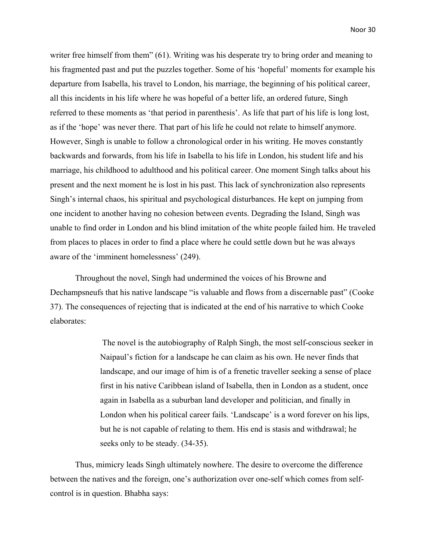writer free himself from them" (61). Writing was his desperate try to bring order and meaning to his fragmented past and put the puzzles together. Some of his 'hopeful' moments for example his departure from Isabella, his travel to London, his marriage, the beginning of his political career, all this incidents in his life where he was hopeful of a better life, an ordered future, Singh referred to these moments as 'that period in parenthesis'. As life that part of his life is long lost, as if the 'hope' was never there. That part of his life he could not relate to himself anymore. However, Singh is unable to follow a chronological order in his writing. He moves constantly backwards and forwards, from his life in Isabella to his life in London, his student life and his marriage, his childhood to adulthood and his political career. One moment Singh talks about his present and the next moment he is lost in his past. This lack of synchronization also represents Singh's internal chaos, his spiritual and psychological disturbances. He kept on jumping from one incident to another having no cohesion between events. Degrading the Island, Singh was unable to find order in London and his blind imitation of the white people failed him. He traveled from places to places in order to find a place where he could settle down but he was always aware of the 'imminent homelessness' (249).

Throughout the novel, Singh had undermined the voices of his Browne and Dechampsneufs that his native landscape "is valuable and flows from a discernable past" (Cooke 37). The consequences of rejecting that is indicated at the end of his narrative to which Cooke elaborates:

> The novel is the autobiography of Ralph Singh, the most self-conscious seeker in Naipaul's fiction for a landscape he can claim as his own. He never finds that landscape, and our image of him is of a frenetic traveller seeking a sense of place first in his native Caribbean island of Isabella, then in London as a student, once again in Isabella as a suburban land developer and politician, and finally in London when his political career fails. 'Landscape' is a word forever on his lips, but he is not capable of relating to them. His end is stasis and withdrawal; he seeks only to be steady. (34-35).

Thus, mimicry leads Singh ultimately nowhere. The desire to overcome the difference between the natives and the foreign, one's authorization over one-self which comes from selfcontrol is in question. Bhabha says: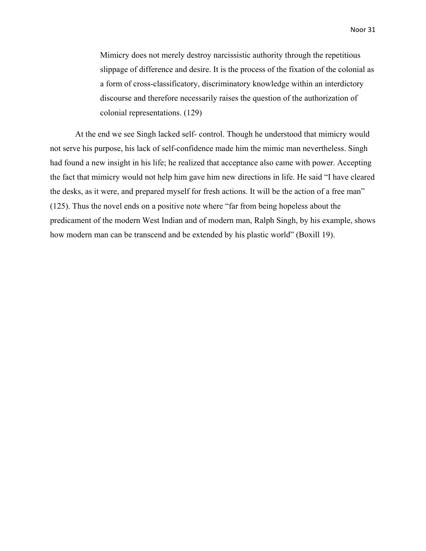Mimicry does not merely destroy narcissistic authority through the repetitious slippage of difference and desire. It is the process of the fixation of the colonial as a form of cross-classificatory, discriminatory knowledge within an interdictory discourse and therefore necessarily raises the question of the authorization of colonial representations. (129)

At the end we see Singh lacked self- control. Though he understood that mimicry would not serve his purpose, his lack of self-confidence made him the mimic man nevertheless. Singh had found a new insight in his life; he realized that acceptance also came with power. Accepting the fact that mimicry would not help him gave him new directions in life. He said "I have cleared the desks, as it were, and prepared myself for fresh actions. It will be the action of a free man" (125). Thus the novel ends on a positive note where "far from being hopeless about the predicament of the modern West Indian and of modern man, Ralph Singh, by his example, shows how modern man can be transcend and be extended by his plastic world" (Boxill 19).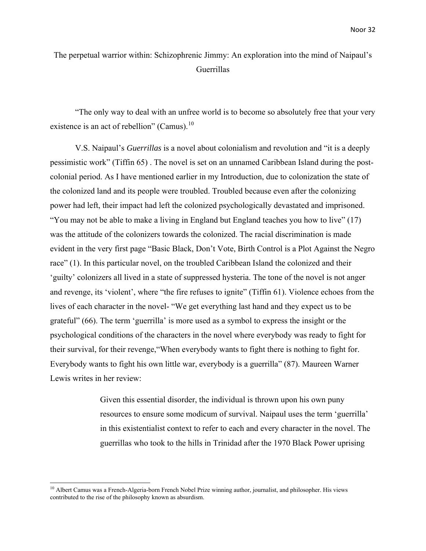### The perpetual warrior within: Schizophrenic Jimmy: An exploration into the mind of Naipaul's Guerrillas

"The only way to deal with an unfree world is to become so absolutely free that your very existence is an act of rebellion" (Camus).<sup>[10](#page-36-0)</sup>

V.S. Naipaul's *Guerrillas* is a novel about colonialism and revolution and "it is a deeply pessimistic work" (Tiffin 65) . The novel is set on an unnamed Caribbean Island during the postcolonial period. As I have mentioned earlier in my Introduction, due to colonization the state of the colonized land and its people were troubled. Troubled because even after the colonizing power had left, their impact had left the colonized psychologically devastated and imprisoned. "You may not be able to make a living in England but England teaches you how to live" (17) was the attitude of the colonizers towards the colonized. The racial discrimination is made evident in the very first page "Basic Black, Don't Vote, Birth Control is a Plot Against the Negro race" (1). In this particular novel, on the troubled Caribbean Island the colonized and their 'guilty' colonizers all lived in a state of suppressed hysteria. The tone of the novel is not anger and revenge, its 'violent', where "the fire refuses to ignite" (Tiffin 61). Violence echoes from the lives of each character in the novel- "We get everything last hand and they expect us to be grateful" (66). The term 'guerrilla' is more used as a symbol to express the insight or the psychological conditions of the characters in the novel where everybody was ready to fight for their survival, for their revenge,"When everybody wants to fight there is nothing to fight for. Everybody wants to fight his own little war, everybody is a guerrilla" (87). Maureen Warner Lewis writes in her review:

> Given this essential disorder, the individual is thrown upon his own puny resources to ensure some modicum of survival. Naipaul uses the term 'guerrilla' in this existentialist context to refer to each and every character in the novel. The guerrillas who took to the hills in Trinidad after the 1970 Black Power uprising

<span id="page-36-0"></span><sup>&</sup>lt;sup>10</sup> Albert Camus was a French-Algeria-born French Nobel Prize winning author, journalist, and philosopher. His views contributed to the rise of the philosophy known as absurdism.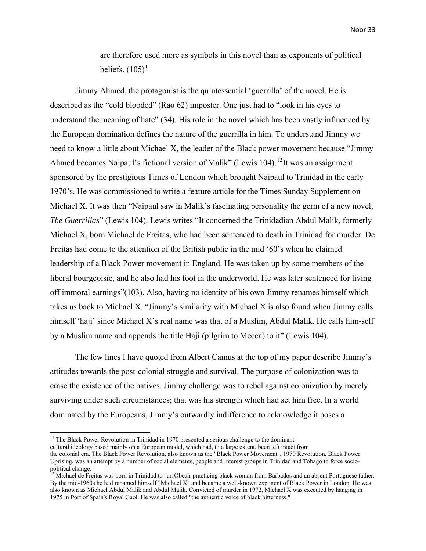are therefore used more as symbols in this novel than as exponents of political beliefs.  $(105)^{11}$  $(105)^{11}$  $(105)^{11}$ 

Jimmy Ahmed, the protagonist is the quintessential 'guerrilla' of the novel. He is described as the "cold blooded" (Rao 62) imposter. One just had to "look in his eyes to understand the meaning of hate" (34). His role in the novel which has been vastly influenced by the European domination defines the nature of the guerrilla in him. To understand Jimmy we need to know a little about Michael X, the leader of the Black power movement because "Jimmy Ahmed becomes Naipaul's fictional version of Malik" (Lewis 104).<sup>[12](#page-37-1)</sup>It was an assignment sponsored by the prestigious Times of London which brought Naipaul to Trinidad in the early 1970's. He was commissioned to write a feature article for the Times Sunday Supplement on Michael X. It was then "Naipaul saw in Malik's fascinating personality the germ of a new novel, *The Guerrillas*" (Lewis 104). Lewis writes "It concerned the Trinidadian Abdul Malik, formerly Michael X, born Michael de Freitas, who had been sentenced to death in Trinidad for murder. De Freitas had come to the attention of the British public in the mid '60's when he claimed leadership of a Black Power movement in England. He was taken up by some members of the liberal bourgeoisie, and he also had his foot in the underworld. He was later sentenced for living off immoral earnings"(103). Also, having no identity of his own Jimmy renames himself which takes us back to Michael X. "Jimmy's similarity with Michael X is also found when Jimmy calls himself 'haji' since Michael X's real name was that of a Muslim, Abdul Malik. He calls him-self by a Muslim name and appends the title Haji (pilgrim to Mecca) to it" (Lewis 104).

The few lines I have quoted from Albert Camus at the top of my paper describe Jimmy's attitudes towards the post-colonial struggle and survival. The purpose of colonization was to erase the existence of the natives. Jimmy challenge was to rebel against colonization by merely surviving under such circumstances; that was his strength which had set him free. In a world dominated by the Europeans, Jimmy's outwardly indifference to acknowledge it poses a

<sup>&</sup>lt;sup>11</sup> The Black Power Revolution in Trinidad in 1970 presented a serious challenge to the dominant

<span id="page-37-0"></span>cultural ideology based mainly on a European model, which had, to a large extent, been left intact from the colonial era. The Black Power Revolution, also known as the "Black Power Movement", 1970 Revolution, Black Power Uprising, was an attempt by a number of social elements, people and interest groups in Trinidad and Tobago to force sociopolitical change.

<span id="page-37-1"></span><sup>&</sup>lt;sup>12</sup> Michael de Freitas was born in Trinidad to "an Obeah-practicing black woman from Barbados and an absent Portuguese father. By the mid-1960s he had renamed himself "Michael X" and became a well-known exponent of Black Power in London. He was also known as Michael Abdul Malik and Abdul Malik. Convicted of murder in 1972, Michael X was executed by hanging in 1975 in Port of Spain's Royal Gaol. He was also called "the authentic voice of black bitterness."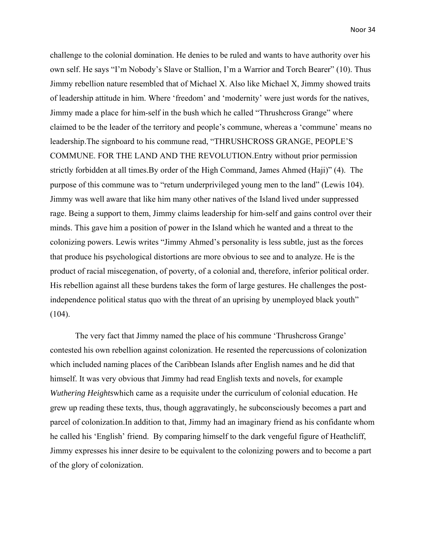challenge to the colonial domination. He denies to be ruled and wants to have authority over his own self. He says "I'm Nobody's Slave or Stallion, I'm a Warrior and Torch Bearer" (10). Thus Jimmy rebellion nature resembled that of Michael X. Also like Michael X, Jimmy showed traits of leadership attitude in him. Where 'freedom' and 'modernity' were just words for the natives, Jimmy made a place for him-self in the bush which he called "Thrushcross Grange" where claimed to be the leader of the territory and people's commune, whereas a 'commune' means no leadership.The signboard to his commune read, "THRUSHCROSS GRANGE, PEOPLE'S COMMUNE. FOR THE LAND AND THE REVOLUTION.Entry without prior permission strictly forbidden at all times.By order of the High Command, James Ahmed (Haji)" (4). The purpose of this commune was to "return underprivileged young men to the land" (Lewis 104). Jimmy was well aware that like him many other natives of the Island lived under suppressed rage. Being a support to them, Jimmy claims leadership for him-self and gains control over their minds. This gave him a position of power in the Island which he wanted and a threat to the colonizing powers. Lewis writes "Jimmy Ahmed's personality is less subtle, just as the forces that produce his psychological distortions are more obvious to see and to analyze. He is the product of racial miscegenation, of poverty, of a colonial and, therefore, inferior political order. His rebellion against all these burdens takes the form of large gestures. He challenges the postindependence political status quo with the threat of an uprising by unemployed black youth"  $(104)$ .

The very fact that Jimmy named the place of his commune 'Thrushcross Grange' contested his own rebellion against colonization. He resented the repercussions of colonization which included naming places of the Caribbean Islands after English names and he did that himself. It was very obvious that Jimmy had read English texts and novels, for example *Wuthering Heights*which came as a requisite under the curriculum of colonial education. He grew up reading these texts, thus, though aggravatingly, he subconsciously becomes a part and parcel of colonization.In addition to that, Jimmy had an imaginary friend as his confidante whom he called his 'English' friend. By comparing himself to the dark vengeful figure of Heathcliff, Jimmy expresses his inner desire to be equivalent to the colonizing powers and to become a part of the glory of colonization.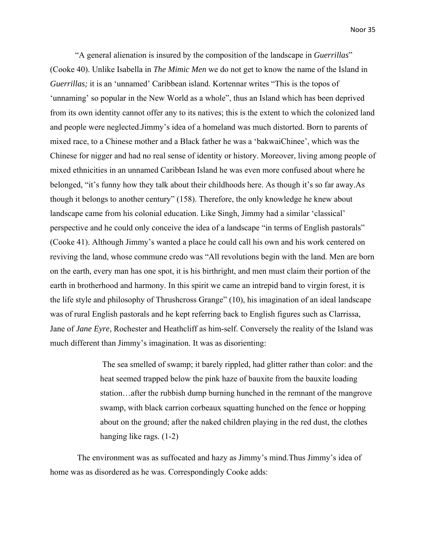"A general alienation is insured by the composition of the landscape in *Guerrillas*" (Cooke 40). Unlike Isabella in *The Mimic Men* we do not get to know the name of the Island in *Guerrillas;* it is an 'unnamed' Caribbean island. Kortennar writes "This is the topos of 'unnaming' so popular in the New World as a whole", thus an Island which has been deprived from its own identity cannot offer any to its natives; this is the extent to which the colonized land and people were neglected.Jimmy's idea of a homeland was much distorted. Born to parents of mixed race, to a Chinese mother and a Black father he was a 'bakwaiChinee', which was the Chinese for nigger and had no real sense of identity or history. Moreover, living among people of mixed ethnicities in an unnamed Caribbean Island he was even more confused about where he belonged, "it's funny how they talk about their childhoods here. As though it's so far away.As though it belongs to another century" (158). Therefore, the only knowledge he knew about landscape came from his colonial education. Like Singh, Jimmy had a similar 'classical' perspective and he could only conceive the idea of a landscape "in terms of English pastorals" (Cooke 41). Although Jimmy's wanted a place he could call his own and his work centered on reviving the land, whose commune credo was "All revolutions begin with the land. Men are born on the earth, every man has one spot, it is his birthright, and men must claim their portion of the earth in brotherhood and harmony. In this spirit we came an intrepid band to virgin forest, it is the life style and philosophy of Thrushcross Grange" (10), his imagination of an ideal landscape was of rural English pastorals and he kept referring back to English figures such as Clarrissa, Jane of *Jane Eyre*, Rochester and Heathcliff as him-self. Conversely the reality of the Island was much different than Jimmy's imagination. It was as disorienting:

> The sea smelled of swamp; it barely rippled, had glitter rather than color: and the heat seemed trapped below the pink haze of bauxite from the bauxite loading station…after the rubbish dump burning hunched in the remnant of the mangrove swamp, with black carrion corbeaux squatting hunched on the fence or hopping about on the ground; after the naked children playing in the red dust, the clothes hanging like rags. (1-2)

 The environment was as suffocated and hazy as Jimmy's mind.Thus Jimmy's idea of home was as disordered as he was. Correspondingly Cooke adds: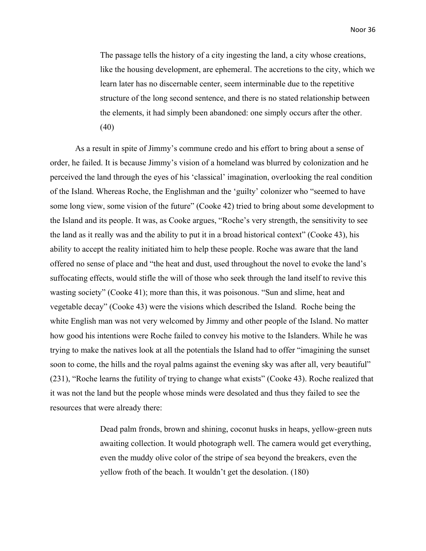The passage tells the history of a city ingesting the land, a city whose creations, like the housing development, are ephemeral. The accretions to the city, which we learn later has no discernable center, seem interminable due to the repetitive structure of the long second sentence, and there is no stated relationship between the elements, it had simply been abandoned: one simply occurs after the other. (40)

As a result in spite of Jimmy's commune credo and his effort to bring about a sense of order, he failed. It is because Jimmy's vision of a homeland was blurred by colonization and he perceived the land through the eyes of his 'classical' imagination, overlooking the real condition of the Island. Whereas Roche, the Englishman and the 'guilty' colonizer who "seemed to have some long view, some vision of the future" (Cooke 42) tried to bring about some development to the Island and its people. It was, as Cooke argues, "Roche's very strength, the sensitivity to see the land as it really was and the ability to put it in a broad historical context" (Cooke 43), his ability to accept the reality initiated him to help these people. Roche was aware that the land offered no sense of place and "the heat and dust, used throughout the novel to evoke the land's suffocating effects, would stifle the will of those who seek through the land itself to revive this wasting society" (Cooke 41); more than this, it was poisonous. "Sun and slime, heat and vegetable decay" (Cooke 43) were the visions which described the Island. Roche being the white English man was not very welcomed by Jimmy and other people of the Island. No matter how good his intentions were Roche failed to convey his motive to the Islanders. While he was trying to make the natives look at all the potentials the Island had to offer "imagining the sunset soon to come, the hills and the royal palms against the evening sky was after all, very beautiful" (231), "Roche learns the futility of trying to change what exists" (Cooke 43). Roche realized that it was not the land but the people whose minds were desolated and thus they failed to see the resources that were already there:

> Dead palm fronds, brown and shining, coconut husks in heaps, yellow-green nuts awaiting collection. It would photograph well. The camera would get everything, even the muddy olive color of the stripe of sea beyond the breakers, even the yellow froth of the beach. It wouldn't get the desolation. (180)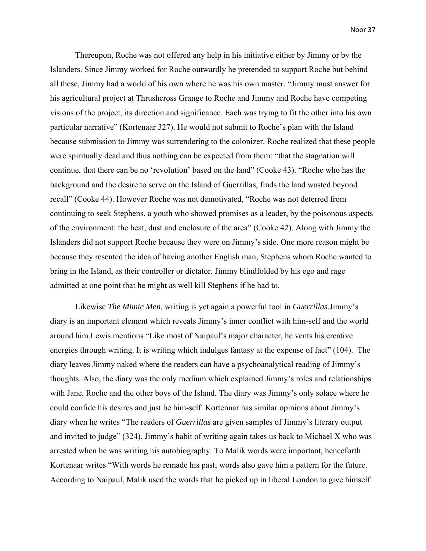Thereupon, Roche was not offered any help in his initiative either by Jimmy or by the Islanders. Since Jimmy worked for Roche outwardly he pretended to support Roche but behind all these, Jimmy had a world of his own where he was his own master. "Jimmy must answer for his agricultural project at Thrushcross Grange to Roche and Jimmy and Roche have competing visions of the project, its direction and significance. Each was trying to fit the other into his own particular narrative" (Kortenaar 327). He would not submit to Roche's plan with the Island because submission to Jimmy was surrendering to the colonizer. Roche realized that these people were spiritually dead and thus nothing can be expected from them: "that the stagnation will continue, that there can be no 'revolution' based on the land" (Cooke 43). "Roche who has the background and the desire to serve on the Island of Guerrillas, finds the land wasted beyond recall" (Cooke 44). However Roche was not demotivated, "Roche was not deterred from continuing to seek Stephens, a youth who showed promises as a leader, by the poisonous aspects of the environment: the heat, dust and enclosure of the area" (Cooke 42). Along with Jimmy the Islanders did not support Roche because they were on Jimmy's side. One more reason might be because they resented the idea of having another English man, Stephens whom Roche wanted to bring in the Island, as their controller or dictator. Jimmy blindfolded by his ego and rage admitted at one point that he might as well kill Stephens if he had to.

Likewise *The Mimic Men,* writing is yet again a powerful tool in *Guerrillas*.Jimmy's diary is an important element which reveals Jimmy's inner conflict with him-self and the world around him.Lewis mentions "Like most of Naipaul's major character, he vents his creative energies through writing. It is writing which indulges fantasy at the expense of fact" (104). The diary leaves Jimmy naked where the readers can have a psychoanalytical reading of Jimmy's thoughts. Also, the diary was the only medium which explained Jimmy's roles and relationships with Jane, Roche and the other boys of the Island. The diary was Jimmy's only solace where he could confide his desires and just be him-self. Kortennar has similar opinions about Jimmy's diary when he writes "The readers of *Guerrillas* are given samples of Jimmy's literary output and invited to judge" (324). Jimmy's habit of writing again takes us back to Michael X who was arrested when he was writing his autobiography. To Malik words were important, henceforth Kortenaar writes "With words he remade his past; words also gave him a pattern for the future. According to Naipaul, Malik used the words that he picked up in liberal London to give himself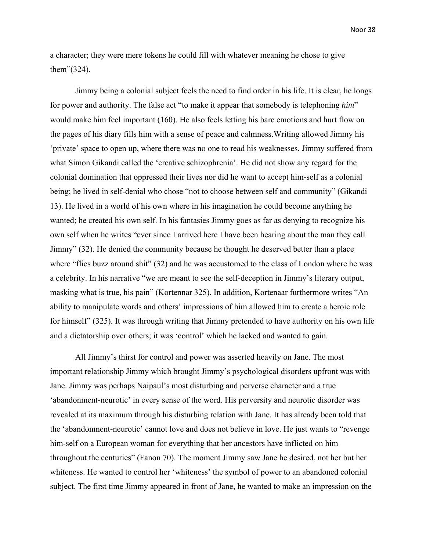a character; they were mere tokens he could fill with whatever meaning he chose to give them"(324).

Jimmy being a colonial subject feels the need to find order in his life. It is clear, he longs for power and authority. The false act "to make it appear that somebody is telephoning *him*" would make him feel important (160). He also feels letting his bare emotions and hurt flow on the pages of his diary fills him with a sense of peace and calmness.Writing allowed Jimmy his 'private' space to open up, where there was no one to read his weaknesses. Jimmy suffered from what Simon Gikandi called the 'creative schizophrenia'. He did not show any regard for the colonial domination that oppressed their lives nor did he want to accept him-self as a colonial being; he lived in self-denial who chose "not to choose between self and community" (Gikandi 13). He lived in a world of his own where in his imagination he could become anything he wanted; he created his own self. In his fantasies Jimmy goes as far as denying to recognize his own self when he writes "ever since I arrived here I have been hearing about the man they call Jimmy" (32). He denied the community because he thought he deserved better than a place where "flies buzz around shit" (32) and he was accustomed to the class of London where he was a celebrity. In his narrative "we are meant to see the self-deception in Jimmy's literary output, masking what is true, his pain" (Kortennar 325). In addition, Kortenaar furthermore writes "An ability to manipulate words and others' impressions of him allowed him to create a heroic role for himself" (325). It was through writing that Jimmy pretended to have authority on his own life and a dictatorship over others; it was 'control' which he lacked and wanted to gain.

All Jimmy's thirst for control and power was asserted heavily on Jane. The most important relationship Jimmy which brought Jimmy's psychological disorders upfront was with Jane. Jimmy was perhaps Naipaul's most disturbing and perverse character and a true 'abandonment-neurotic' in every sense of the word. His perversity and neurotic disorder was revealed at its maximum through his disturbing relation with Jane. It has already been told that the 'abandonment-neurotic' cannot love and does not believe in love. He just wants to "revenge him-self on a European woman for everything that her ancestors have inflicted on him throughout the centuries" (Fanon 70). The moment Jimmy saw Jane he desired, not her but her whiteness. He wanted to control her 'whiteness' the symbol of power to an abandoned colonial subject. The first time Jimmy appeared in front of Jane, he wanted to make an impression on the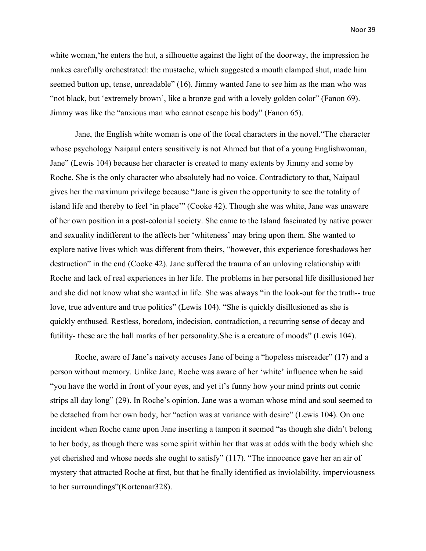white woman, "he enters the hut, a silhouette against the light of the doorway, the impression he makes carefully orchestrated: the mustache, which suggested a mouth clamped shut, made him seemed button up, tense, unreadable" (16). Jimmy wanted Jane to see him as the man who was "not black, but 'extremely brown', like a bronze god with a lovely golden color" (Fanon 69). Jimmy was like the "anxious man who cannot escape his body" (Fanon 65).

Jane, the English white woman is one of the focal characters in the novel."The character whose psychology Naipaul enters sensitively is not Ahmed but that of a young Englishwoman, Jane" (Lewis 104) because her character is created to many extents by Jimmy and some by Roche. She is the only character who absolutely had no voice. Contradictory to that, Naipaul gives her the maximum privilege because "Jane is given the opportunity to see the totality of island life and thereby to feel 'in place'" (Cooke 42). Though she was white, Jane was unaware of her own position in a post-colonial society. She came to the Island fascinated by native power and sexuality indifferent to the affects her 'whiteness' may bring upon them. She wanted to explore native lives which was different from theirs, "however, this experience foreshadows her destruction" in the end (Cooke 42). Jane suffered the trauma of an unloving relationship with Roche and lack of real experiences in her life. The problems in her personal life disillusioned her and she did not know what she wanted in life. She was always "in the look-out for the truth-- true love, true adventure and true politics" (Lewis 104). "She is quickly disillusioned as she is quickly enthused. Restless, boredom, indecision, contradiction, a recurring sense of decay and futility- these are the hall marks of her personality.She is a creature of moods" (Lewis 104).

Roche, aware of Jane's naivety accuses Jane of being a "hopeless misreader" (17) and a person without memory. Unlike Jane, Roche was aware of her 'white' influence when he said "you have the world in front of your eyes, and yet it's funny how your mind prints out comic strips all day long" (29). In Roche's opinion, Jane was a woman whose mind and soul seemed to be detached from her own body, her "action was at variance with desire" (Lewis 104). On one incident when Roche came upon Jane inserting a tampon it seemed "as though she didn't belong to her body, as though there was some spirit within her that was at odds with the body which she yet cherished and whose needs she ought to satisfy" (117). "The innocence gave her an air of mystery that attracted Roche at first, but that he finally identified as inviolability, imperviousness to her surroundings"(Kortenaar328).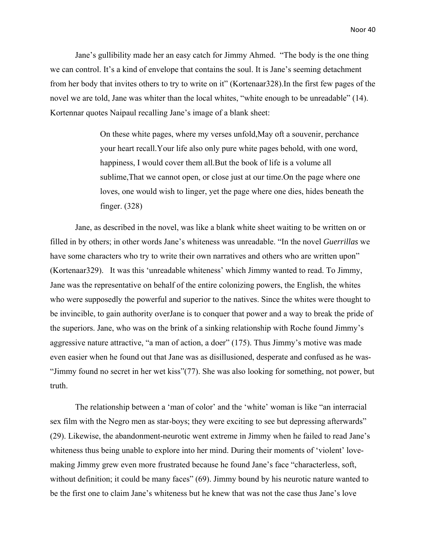Jane's gullibility made her an easy catch for Jimmy Ahmed. "The body is the one thing we can control. It's a kind of envelope that contains the soul. It is Jane's seeming detachment from her body that invites others to try to write on it" (Kortenaar328).In the first few pages of the novel we are told, Jane was whiter than the local whites, "white enough to be unreadable" (14). Kortennar quotes Naipaul recalling Jane's image of a blank sheet:

> On these white pages, where my verses unfold,May oft a souvenir, perchance your heart recall.Your life also only pure white pages behold, with one word, happiness, I would cover them all.But the book of life is a volume all sublime,That we cannot open, or close just at our time.On the page where one loves, one would wish to linger, yet the page where one dies, hides beneath the finger. (328)

Jane, as described in the novel, was like a blank white sheet waiting to be written on or filled in by others; in other words Jane's whiteness was unreadable. "In the novel *Guerrillas* we have some characters who try to write their own narratives and others who are written upon" (Kortenaar329). It was this 'unreadable whiteness' which Jimmy wanted to read. To Jimmy, Jane was the representative on behalf of the entire colonizing powers, the English, the whites who were supposedly the powerful and superior to the natives. Since the whites were thought to be invincible, to gain authority overJane is to conquer that power and a way to break the pride of the superiors. Jane, who was on the brink of a sinking relationship with Roche found Jimmy's aggressive nature attractive, "a man of action, a doer" (175). Thus Jimmy's motive was made even easier when he found out that Jane was as disillusioned, desperate and confused as he was- "Jimmy found no secret in her wet kiss"(77). She was also looking for something, not power, but truth.

The relationship between a 'man of color' and the 'white' woman is like "an interracial sex film with the Negro men as star-boys; they were exciting to see but depressing afterwards" (29). Likewise, the abandonment-neurotic went extreme in Jimmy when he failed to read Jane's whiteness thus being unable to explore into her mind. During their moments of 'violent' lovemaking Jimmy grew even more frustrated because he found Jane's face "characterless, soft, without definition; it could be many faces" (69). Jimmy bound by his neurotic nature wanted to be the first one to claim Jane's whiteness but he knew that was not the case thus Jane's love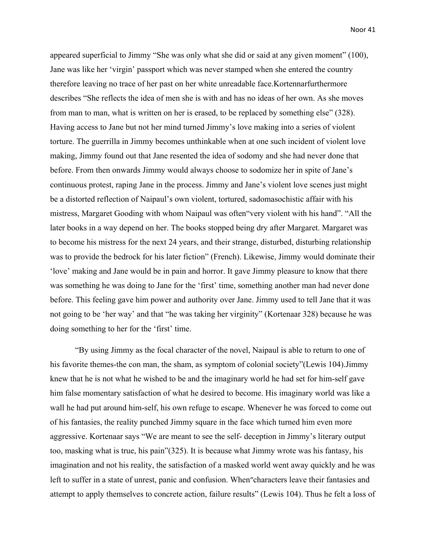appeared superficial to Jimmy "She was only what she did or said at any given moment" (100), Jane was like her 'virgin' passport which was never stamped when she entered the country therefore leaving no trace of her past on her white unreadable face.Kortennarfurthermore describes "She reflects the idea of men she is with and has no ideas of her own. As she moves from man to man, what is written on her is erased, to be replaced by something else" (328). Having access to Jane but not her mind turned Jimmy's love making into a series of violent torture. The guerrilla in Jimmy becomes unthinkable when at one such incident of violent love making, Jimmy found out that Jane resented the idea of sodomy and she had never done that before. From then onwards Jimmy would always choose to sodomize her in spite of Jane's continuous protest, raping Jane in the process. Jimmy and Jane's violent love scenes just might be a distorted reflection of Naipaul's own violent, tortured, sadomasochistic affair with his mistress, Margaret Gooding with whom Naipaul was often"very violent with his hand". "All the later books in a way depend on her. The books stopped being dry after Margaret. Margaret was to become his mistress for the next 24 years, and their strange, disturbed, disturbing relationship was to provide the bedrock for his later fiction" (French). Likewise, Jimmy would dominate their 'love' making and Jane would be in pain and horror. It gave Jimmy pleasure to know that there was something he was doing to Jane for the 'first' time, something another man had never done before. This feeling gave him power and authority over Jane. Jimmy used to tell Jane that it was not going to be 'her way' and that "he was taking her virginity" (Kortenaar 328) because he was doing something to her for the 'first' time.

"By using Jimmy as the focal character of the novel, Naipaul is able to return to one of his favorite themes-the con man, the sham, as symptom of colonial society"(Lewis 104).Jimmy knew that he is not what he wished to be and the imaginary world he had set for him-self gave him false momentary satisfaction of what he desired to become. His imaginary world was like a wall he had put around him-self, his own refuge to escape. Whenever he was forced to come out of his fantasies, the reality punched Jimmy square in the face which turned him even more aggressive. Kortenaar says "We are meant to see the self- deception in Jimmy's literary output too, masking what is true, his pain"(325). It is because what Jimmy wrote was his fantasy, his imagination and not his reality, the satisfaction of a masked world went away quickly and he was left to suffer in a state of unrest, panic and confusion. When"characters leave their fantasies and attempt to apply themselves to concrete action, failure results" (Lewis 104). Thus he felt a loss of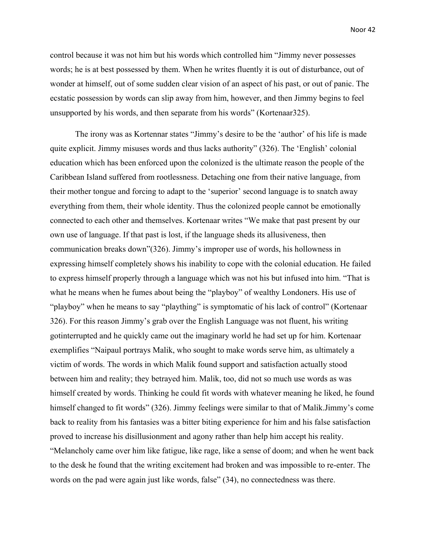control because it was not him but his words which controlled him "Jimmy never possesses words; he is at best possessed by them. When he writes fluently it is out of disturbance, out of wonder at himself, out of some sudden clear vision of an aspect of his past, or out of panic. The ecstatic possession by words can slip away from him, however, and then Jimmy begins to feel unsupported by his words, and then separate from his words" (Kortenaar325).

The irony was as Kortennar states "Jimmy's desire to be the 'author' of his life is made quite explicit. Jimmy misuses words and thus lacks authority" (326). The 'English' colonial education which has been enforced upon the colonized is the ultimate reason the people of the Caribbean Island suffered from rootlessness. Detaching one from their native language, from their mother tongue and forcing to adapt to the 'superior' second language is to snatch away everything from them, their whole identity. Thus the colonized people cannot be emotionally connected to each other and themselves. Kortenaar writes "We make that past present by our own use of language. If that past is lost, if the language sheds its allusiveness, then communication breaks down"(326). Jimmy's improper use of words, his hollowness in expressing himself completely shows his inability to cope with the colonial education. He failed to express himself properly through a language which was not his but infused into him. "That is what he means when he fumes about being the "playboy" of wealthy Londoners. His use of "playboy" when he means to say "plaything" is symptomatic of his lack of control" (Kortenaar 326). For this reason Jimmy's grab over the English Language was not fluent, his writing gotinterrupted and he quickly came out the imaginary world he had set up for him. Kortenaar exemplifies "Naipaul portrays Malik, who sought to make words serve him, as ultimately a victim of words. The words in which Malik found support and satisfaction actually stood between him and reality; they betrayed him. Malik, too, did not so much use words as was himself created by words. Thinking he could fit words with whatever meaning he liked, he found himself changed to fit words" (326). Jimmy feelings were similar to that of Malik.Jimmy's come back to reality from his fantasies was a bitter biting experience for him and his false satisfaction proved to increase his disillusionment and agony rather than help him accept his reality. "Melancholy came over him like fatigue, like rage, like a sense of doom; and when he went back to the desk he found that the writing excitement had broken and was impossible to re-enter. The words on the pad were again just like words, false" (34), no connectedness was there.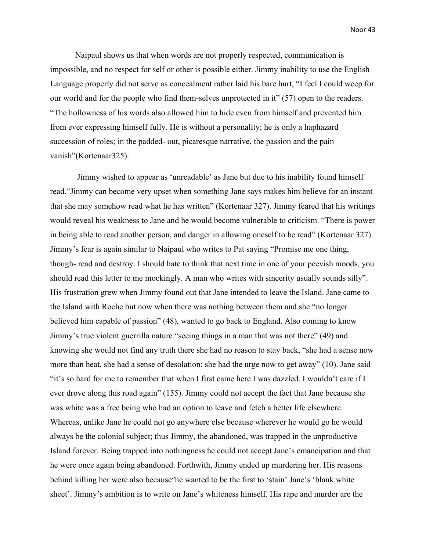Naipaul shows us that when words are not properly respected, communication is impossible, and no respect for self or other is possible either. Jimmy inability to use the English Language properly did not serve as concealment rather laid his bare hurt, "I feel I could weep for our world and for the people who find them-selves unprotected in it" (57) open to the readers. "The hollowness of his words also allowed him to hide even from himself and prevented him from ever expressing himself fully. He is without a personality; he is only a haphazard succession of roles; in the padded- out, picaresque narrative, the passion and the pain vanish"(Kortenaar325).

 Jimmy wished to appear as 'unreadable' as Jane but due to his inability found himself read."Jimmy can become very upset when something Jane says makes him believe for an instant that she may somehow read what he has written" (Kortenaar 327). Jimmy feared that his writings would reveal his weakness to Jane and he would become vulnerable to criticism. "There is power in being able to read another person, and danger in allowing oneself to be read" (Kortenaar 327). Jimmy's fear is again similar to Naipaul who writes to Pat saying "Promise me one thing, though- read and destroy. I should hate to think that next time in one of your peevish moods, you should read this letter to me mockingly. A man who writes with sincerity usually sounds silly". His frustration grew when Jimmy found out that Jane intended to leave the Island. Jane came to the Island with Roche but now when there was nothing between them and she "no longer believed him capable of passion" (48), wanted to go back to England. Also coming to know Jimmy's true violent guerrilla nature "seeing things in a man that was not there" (49) and knowing she would not find any truth there she had no reason to stay back, "she had a sense now more than heat, she had a sense of desolation: she had the urge now to get away" (10). Jane said "it's so hard for me to remember that when I first came here I was dazzled. I wouldn't care if I ever drove along this road again" (155). Jimmy could not accept the fact that Jane because she was white was a free being who had an option to leave and fetch a better life elsewhere. Whereas, unlike Jane he could not go anywhere else because wherever he would go he would always be the colonial subject; thus Jimmy, the abandoned, was trapped in the unproductive Island forever. Being trapped into nothingness he could not accept Jane's emancipation and that he were once again being abandoned. Forthwith, Jimmy ended up murdering her. His reasons behind killing her were also because"he wanted to be the first to 'stain' Jane's 'blank white sheet'. Jimmy's ambition is to write on Jane's whiteness himself. His rape and murder are the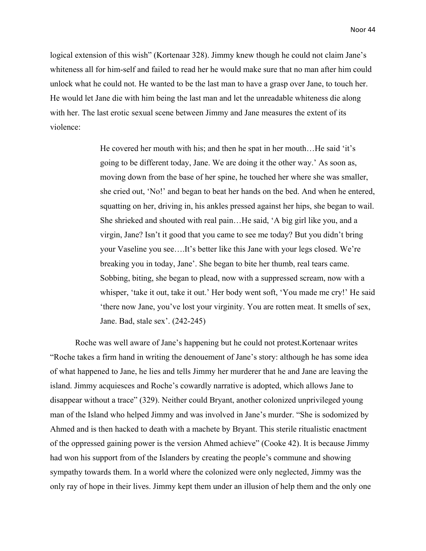logical extension of this wish" (Kortenaar 328). Jimmy knew though he could not claim Jane's whiteness all for him-self and failed to read her he would make sure that no man after him could unlock what he could not. He wanted to be the last man to have a grasp over Jane, to touch her. He would let Jane die with him being the last man and let the unreadable whiteness die along with her. The last erotic sexual scene between Jimmy and Jane measures the extent of its violence:

> He covered her mouth with his; and then he spat in her mouth... He said 'it's going to be different today, Jane. We are doing it the other way.' As soon as, moving down from the base of her spine, he touched her where she was smaller, she cried out, 'No!' and began to beat her hands on the bed. And when he entered, squatting on her, driving in, his ankles pressed against her hips, she began to wail. She shrieked and shouted with real pain…He said, 'A big girl like you, and a virgin, Jane? Isn't it good that you came to see me today? But you didn't bring your Vaseline you see….It's better like this Jane with your legs closed. We're breaking you in today, Jane'. She began to bite her thumb, real tears came. Sobbing, biting, she began to plead, now with a suppressed scream, now with a whisper, 'take it out, take it out.' Her body went soft, 'You made me cry!' He said 'there now Jane, you've lost your virginity. You are rotten meat. It smells of sex, Jane. Bad, stale sex'. (242-245)

Roche was well aware of Jane's happening but he could not protest.Kortenaar writes "Roche takes a firm hand in writing the denouement of Jane's story: although he has some idea of what happened to Jane, he lies and tells Jimmy her murderer that he and Jane are leaving the island. Jimmy acquiesces and Roche's cowardly narrative is adopted, which allows Jane to disappear without a trace" (329). Neither could Bryant, another colonized unprivileged young man of the Island who helped Jimmy and was involved in Jane's murder. "She is sodomized by Ahmed and is then hacked to death with a machete by Bryant. This sterile ritualistic enactment of the oppressed gaining power is the version Ahmed achieve" (Cooke 42). It is because Jimmy had won his support from of the Islanders by creating the people's commune and showing sympathy towards them. In a world where the colonized were only neglected, Jimmy was the only ray of hope in their lives. Jimmy kept them under an illusion of help them and the only one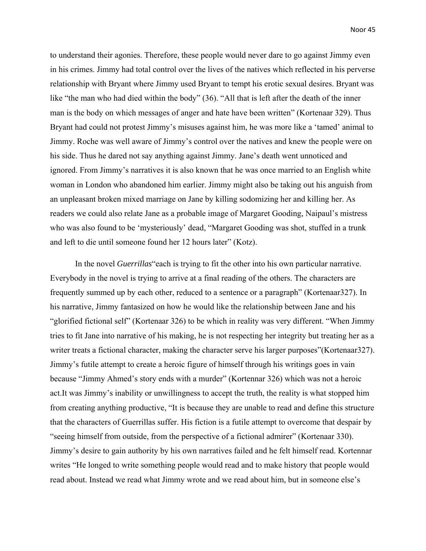to understand their agonies. Therefore, these people would never dare to go against Jimmy even in his crimes. Jimmy had total control over the lives of the natives which reflected in his perverse relationship with Bryant where Jimmy used Bryant to tempt his erotic sexual desires. Bryant was like "the man who had died within the body" (36). "All that is left after the death of the inner man is the body on which messages of anger and hate have been written" (Kortenaar 329). Thus Bryant had could not protest Jimmy's misuses against him, he was more like a 'tamed' animal to Jimmy. Roche was well aware of Jimmy's control over the natives and knew the people were on his side. Thus he dared not say anything against Jimmy. Jane's death went unnoticed and ignored. From Jimmy's narratives it is also known that he was once married to an English white woman in London who abandoned him earlier. Jimmy might also be taking out his anguish from an unpleasant broken mixed marriage on Jane by killing sodomizing her and killing her. As readers we could also relate Jane as a probable image of Margaret Gooding, Naipaul's mistress who was also found to be 'mysteriously' dead, "Margaret Gooding was shot, stuffed in a trunk and left to die until someone found her 12 hours later" (Kotz).

In the novel *Guerrillas*"each is trying to fit the other into his own particular narrative. Everybody in the novel is trying to arrive at a final reading of the others. The characters are frequently summed up by each other, reduced to a sentence or a paragraph" (Kortenaar327). In his narrative, Jimmy fantasized on how he would like the relationship between Jane and his "glorified fictional self" (Kortenaar 326) to be which in reality was very different. "When Jimmy tries to fit Jane into narrative of his making, he is not respecting her integrity but treating her as a writer treats a fictional character, making the character serve his larger purposes"(Kortenaar327). Jimmy's futile attempt to create a heroic figure of himself through his writings goes in vain because "Jimmy Ahmed's story ends with a murder" (Kortennar 326) which was not a heroic act.It was Jimmy's inability or unwillingness to accept the truth, the reality is what stopped him from creating anything productive, "It is because they are unable to read and define this structure that the characters of Guerrillas suffer. His fiction is a futile attempt to overcome that despair by "seeing himself from outside, from the perspective of a fictional admirer" (Kortenaar 330). Jimmy's desire to gain authority by his own narratives failed and he felt himself read. Kortennar writes "He longed to write something people would read and to make history that people would read about. Instead we read what Jimmy wrote and we read about him, but in someone else's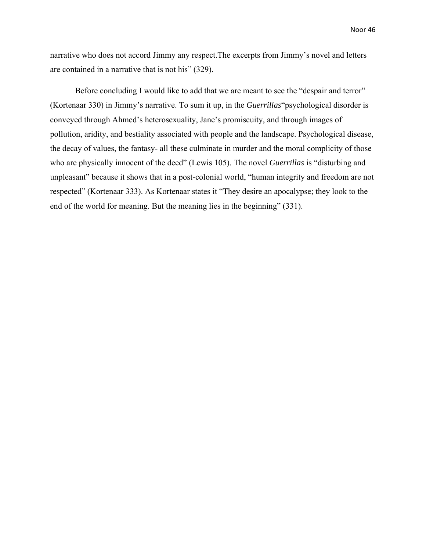narrative who does not accord Jimmy any respect.The excerpts from Jimmy's novel and letters are contained in a narrative that is not his" (329).

Before concluding I would like to add that we are meant to see the "despair and terror" (Kortenaar 330) in Jimmy's narrative. To sum it up, in the *Guerrillas*"psychological disorder is conveyed through Ahmed's heterosexuality, Jane's promiscuity, and through images of pollution, aridity, and bestiality associated with people and the landscape. Psychological disease, the decay of values, the fantasy- all these culminate in murder and the moral complicity of those who are physically innocent of the deed" (Lewis 105). The novel *Guerrillas* is "disturbing and unpleasant" because it shows that in a post-colonial world, "human integrity and freedom are not respected" (Kortenaar 333). As Kortenaar states it "They desire an apocalypse; they look to the end of the world for meaning. But the meaning lies in the beginning" (331).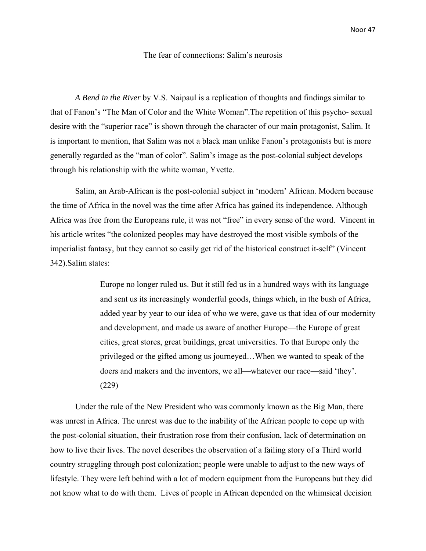#### The fear of connections: Salim's neurosis

*A Bend in the River* by V.S. Naipaul is a replication of thoughts and findings similar to that of Fanon's "The Man of Color and the White Woman".The repetition of this psycho- sexual desire with the "superior race" is shown through the character of our main protagonist, Salim. It is important to mention, that Salim was not a black man unlike Fanon's protagonists but is more generally regarded as the "man of color". Salim's image as the post-colonial subject develops through his relationship with the white woman, Yvette.

Salim, an Arab-African is the post-colonial subject in 'modern' African. Modern because the time of Africa in the novel was the time after Africa has gained its independence. Although Africa was free from the Europeans rule, it was not "free" in every sense of the word. Vincent in his article writes "the colonized peoples may have destroyed the most visible symbols of the imperialist fantasy, but they cannot so easily get rid of the historical construct it-self" (Vincent 342).Salim states:

> Europe no longer ruled us. But it still fed us in a hundred ways with its language and sent us its increasingly wonderful goods, things which, in the bush of Africa, added year by year to our idea of who we were, gave us that idea of our modernity and development, and made us aware of another Europe—the Europe of great cities, great stores, great buildings, great universities. To that Europe only the privileged or the gifted among us journeyed…When we wanted to speak of the doers and makers and the inventors, we all—whatever our race—said 'they'. (229)

Under the rule of the New President who was commonly known as the Big Man, there was unrest in Africa. The unrest was due to the inability of the African people to cope up with the post-colonial situation, their frustration rose from their confusion, lack of determination on how to live their lives. The novel describes the observation of a failing story of a Third world country struggling through post colonization; people were unable to adjust to the new ways of lifestyle. They were left behind with a lot of modern equipment from the Europeans but they did not know what to do with them. Lives of people in African depended on the whimsical decision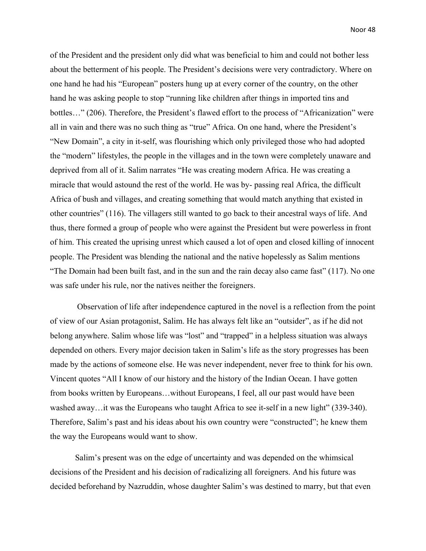of the President and the president only did what was beneficial to him and could not bother less about the betterment of his people. The President's decisions were very contradictory. Where on one hand he had his "European" posters hung up at every corner of the country, on the other hand he was asking people to stop "running like children after things in imported tins and bottles…" (206). Therefore, the President's flawed effort to the process of "Africanization" were all in vain and there was no such thing as "true" Africa. On one hand, where the President's "New Domain", a city in it-self, was flourishing which only privileged those who had adopted the "modern" lifestyles, the people in the villages and in the town were completely unaware and deprived from all of it. Salim narrates "He was creating modern Africa. He was creating a miracle that would astound the rest of the world. He was by- passing real Africa, the difficult Africa of bush and villages, and creating something that would match anything that existed in other countries" (116). The villagers still wanted to go back to their ancestral ways of life. And thus, there formed a group of people who were against the President but were powerless in front of him. This created the uprising unrest which caused a lot of open and closed killing of innocent people. The President was blending the national and the native hopelessly as Salim mentions "The Domain had been built fast, and in the sun and the rain decay also came fast" (117). No one was safe under his rule, nor the natives neither the foreigners.

 Observation of life after independence captured in the novel is a reflection from the point of view of our Asian protagonist, Salim. He has always felt like an "outsider", as if he did not belong anywhere. Salim whose life was "lost" and "trapped" in a helpless situation was always depended on others. Every major decision taken in Salim's life as the story progresses has been made by the actions of someone else. He was never independent, never free to think for his own. Vincent quotes "All I know of our history and the history of the Indian Ocean. I have gotten from books written by Europeans…without Europeans, I feel, all our past would have been washed away…it was the Europeans who taught Africa to see it-self in a new light" (339-340). Therefore, Salim's past and his ideas about his own country were "constructed"; he knew them the way the Europeans would want to show.

Salim's present was on the edge of uncertainty and was depended on the whimsical decisions of the President and his decision of radicalizing all foreigners. And his future was decided beforehand by Nazruddin, whose daughter Salim's was destined to marry, but that even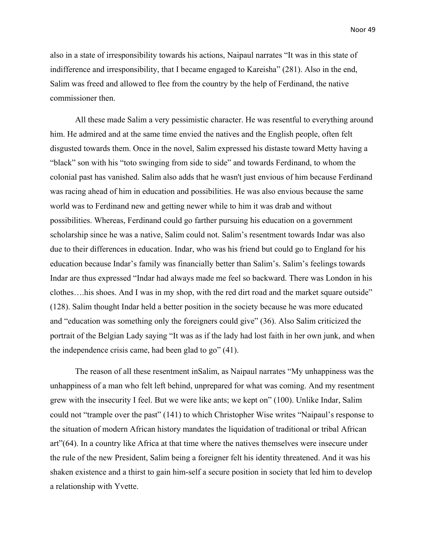also in a state of irresponsibility towards his actions, Naipaul narrates "It was in this state of indifference and irresponsibility, that I became engaged to Kareisha" (281). Also in the end, Salim was freed and allowed to flee from the country by the help of Ferdinand, the native commissioner then.

All these made Salim a very pessimistic character. He was resentful to everything around him. He admired and at the same time envied the natives and the English people, often felt disgusted towards them. Once in the novel, Salim expressed his distaste toward Metty having a "black" son with his "toto swinging from side to side" and towards Ferdinand, to whom the colonial past has vanished. Salim also adds that he wasn't just envious of him because Ferdinand was racing ahead of him in education and possibilities. He was also envious because the same world was to Ferdinand new and getting newer while to him it was drab and without possibilities. Whereas, Ferdinand could go farther pursuing his education on a government scholarship since he was a native, Salim could not. Salim's resentment towards Indar was also due to their differences in education. Indar, who was his friend but could go to England for his education because Indar's family was financially better than Salim's. Salim's feelings towards Indar are thus expressed "Indar had always made me feel so backward. There was London in his clothes….his shoes. And I was in my shop, with the red dirt road and the market square outside" (128). Salim thought Indar held a better position in the society because he was more educated and "education was something only the foreigners could give" (36). Also Salim criticized the portrait of the Belgian Lady saying "It was as if the lady had lost faith in her own junk, and when the independence crisis came, had been glad to go" (41).

The reason of all these resentment inSalim, as Naipaul narrates "My unhappiness was the unhappiness of a man who felt left behind, unprepared for what was coming. And my resentment grew with the insecurity I feel. But we were like ants; we kept on" (100). Unlike Indar, Salim could not "trample over the past" (141) to which Christopher Wise writes "Naipaul's response to the situation of modern African history mandates the liquidation of traditional or tribal African art"(64). In a country like Africa at that time where the natives themselves were insecure under the rule of the new President, Salim being a foreigner felt his identity threatened. And it was his shaken existence and a thirst to gain him-self a secure position in society that led him to develop a relationship with Yvette.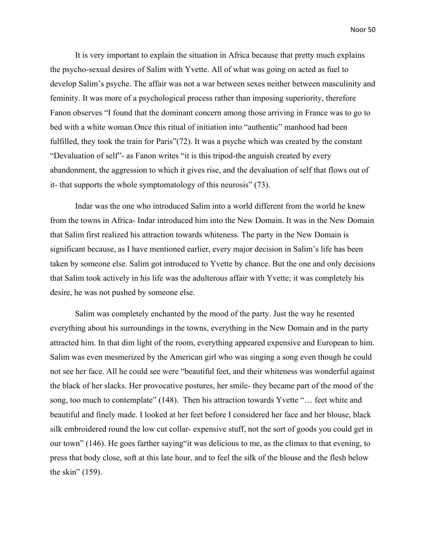It is very important to explain the situation in Africa because that pretty much explains the psycho-sexual desires of Salim with Yvette. All of what was going on acted as fuel to develop Salim's psyche. The affair was not a war between sexes neither between masculinity and feminity. It was more of a psychological process rather than imposing superiority, therefore Fanon observes "I found that the dominant concern among those arriving in France was to go to bed with a white woman.Once this ritual of initiation into "authentic" manhood had been fulfilled, they took the train for Paris"(72). It was a psyche which was created by the constant "Devaluation of self"- as Fanon writes "it is this tripod-the anguish created by every abandonment, the aggression to which it gives rise, and the devaluation of self that flows out of it- that supports the whole symptomatology of this neurosis" (73).

Indar was the one who introduced Salim into a world different from the world he knew from the towns in Africa- Indar introduced him into the New Domain. It was in the New Domain that Salim first realized his attraction towards whiteness. The party in the New Domain is significant because, as I have mentioned earlier, every major decision in Salim's life has been taken by someone else. Salim got introduced to Yvette by chance. But the one and only decisions that Salim took actively in his life was the adulterous affair with Yvette; it was completely his desire, he was not pushed by someone else.

Salim was completely enchanted by the mood of the party. Just the way he resented everything about his surroundings in the towns, everything in the New Domain and in the party attracted him. In that dim light of the room, everything appeared expensive and European to him. Salim was even mesmerized by the American girl who was singing a song even though he could not see her face. All he could see were "beautiful feet, and their whiteness was wonderful against the black of her slacks. Her provocative postures, her smile- they became part of the mood of the song, too much to contemplate" (148). Then his attraction towards Yvette "… feet white and beautiful and finely made. I looked at her feet before I considered her face and her blouse, black silk embroidered round the low cut collar- expensive stuff, not the sort of goods you could get in our town" (146). He goes farther saying"it was delicious to me, as the climax to that evening, to press that body close, soft at this late hour, and to feel the silk of the blouse and the flesh below the skin" (159).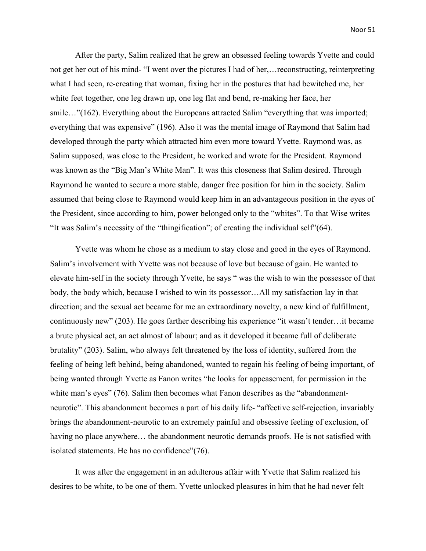After the party, Salim realized that he grew an obsessed feeling towards Yvette and could not get her out of his mind- "I went over the pictures I had of her,…reconstructing, reinterpreting what I had seen, re-creating that woman, fixing her in the postures that had bewitched me, her white feet together, one leg drawn up, one leg flat and bend, re-making her face, her smile..."(162). Everything about the Europeans attracted Salim "everything that was imported; everything that was expensive" (196). Also it was the mental image of Raymond that Salim had developed through the party which attracted him even more toward Yvette. Raymond was, as Salim supposed, was close to the President, he worked and wrote for the President. Raymond was known as the "Big Man's White Man". It was this closeness that Salim desired. Through Raymond he wanted to secure a more stable, danger free position for him in the society. Salim assumed that being close to Raymond would keep him in an advantageous position in the eyes of the President, since according to him, power belonged only to the "whites". To that Wise writes "It was Salim's necessity of the "thingification"; of creating the individual self"(64).

Yvette was whom he chose as a medium to stay close and good in the eyes of Raymond. Salim's involvement with Yvette was not because of love but because of gain. He wanted to elevate him-self in the society through Yvette, he says " was the wish to win the possessor of that body, the body which, because I wished to win its possessor…All my satisfaction lay in that direction; and the sexual act became for me an extraordinary novelty, a new kind of fulfillment, continuously new" (203). He goes farther describing his experience "it wasn't tender…it became a brute physical act, an act almost of labour; and as it developed it became full of deliberate brutality" (203). Salim, who always felt threatened by the loss of identity, suffered from the feeling of being left behind, being abandoned, wanted to regain his feeling of being important, of being wanted through Yvette as Fanon writes "he looks for appeasement, for permission in the white man's eyes" (76). Salim then becomes what Fanon describes as the "abandonmentneurotic". This abandonment becomes a part of his daily life- "affective self-rejection, invariably brings the abandonment-neurotic to an extremely painful and obsessive feeling of exclusion, of having no place anywhere... the abandonment neurotic demands proofs. He is not satisfied with isolated statements. He has no confidence"(76).

It was after the engagement in an adulterous affair with Yvette that Salim realized his desires to be white, to be one of them. Yvette unlocked pleasures in him that he had never felt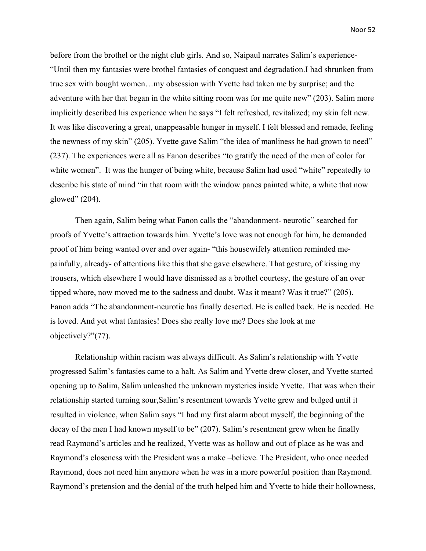before from the brothel or the night club girls. And so, Naipaul narrates Salim's experience- "Until then my fantasies were brothel fantasies of conquest and degradation.I had shrunken from true sex with bought women…my obsession with Yvette had taken me by surprise; and the adventure with her that began in the white sitting room was for me quite new" (203). Salim more implicitly described his experience when he says "I felt refreshed, revitalized; my skin felt new. It was like discovering a great, unappeasable hunger in myself. I felt blessed and remade, feeling the newness of my skin" (205). Yvette gave Salim "the idea of manliness he had grown to need" (237). The experiences were all as Fanon describes "to gratify the need of the men of color for white women". It was the hunger of being white, because Salim had used "white" repeatedly to describe his state of mind "in that room with the window panes painted white, a white that now glowed" (204).

Then again, Salim being what Fanon calls the "abandonment- neurotic" searched for proofs of Yvette's attraction towards him. Yvette's love was not enough for him, he demanded proof of him being wanted over and over again- "this housewifely attention reminded mepainfully, already- of attentions like this that she gave elsewhere. That gesture, of kissing my trousers, which elsewhere I would have dismissed as a brothel courtesy, the gesture of an over tipped whore, now moved me to the sadness and doubt. Was it meant? Was it true?" (205). Fanon adds "The abandonment-neurotic has finally deserted. He is called back. He is needed. He is loved. And yet what fantasies! Does she really love me? Does she look at me objectively?"(77).

Relationship within racism was always difficult. As Salim's relationship with Yvette progressed Salim's fantasies came to a halt. As Salim and Yvette drew closer, and Yvette started opening up to Salim, Salim unleashed the unknown mysteries inside Yvette. That was when their relationship started turning sour,Salim's resentment towards Yvette grew and bulged until it resulted in violence, when Salim says "I had my first alarm about myself, the beginning of the decay of the men I had known myself to be" (207). Salim's resentment grew when he finally read Raymond's articles and he realized, Yvette was as hollow and out of place as he was and Raymond's closeness with the President was a make –believe. The President, who once needed Raymond, does not need him anymore when he was in a more powerful position than Raymond. Raymond's pretension and the denial of the truth helped him and Yvette to hide their hollowness,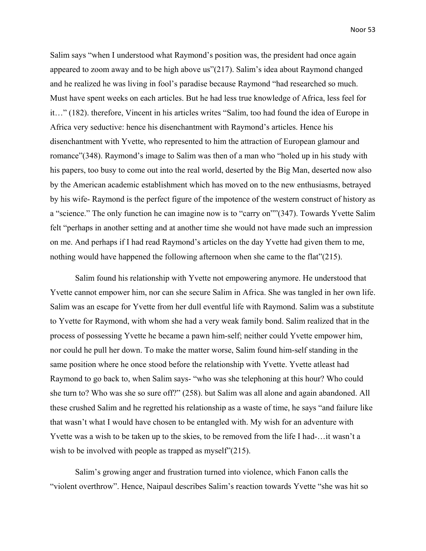Salim says "when I understood what Raymond's position was, the president had once again appeared to zoom away and to be high above us"(217). Salim's idea about Raymond changed and he realized he was living in fool's paradise because Raymond "had researched so much. Must have spent weeks on each articles. But he had less true knowledge of Africa, less feel for it…" (182). therefore, Vincent in his articles writes "Salim, too had found the idea of Europe in Africa very seductive: hence his disenchantment with Raymond's articles. Hence his disenchantment with Yvette, who represented to him the attraction of European glamour and romance"(348). Raymond's image to Salim was then of a man who "holed up in his study with his papers, too busy to come out into the real world, deserted by the Big Man, deserted now also by the American academic establishment which has moved on to the new enthusiasms, betrayed by his wife- Raymond is the perfect figure of the impotence of the western construct of history as a "science." The only function he can imagine now is to "carry on""(347). Towards Yvette Salim felt "perhaps in another setting and at another time she would not have made such an impression on me. And perhaps if I had read Raymond's articles on the day Yvette had given them to me, nothing would have happened the following afternoon when she came to the flat"(215).

Salim found his relationship with Yvette not empowering anymore. He understood that Yvette cannot empower him, nor can she secure Salim in Africa. She was tangled in her own life. Salim was an escape for Yvette from her dull eventful life with Raymond. Salim was a substitute to Yvette for Raymond, with whom she had a very weak family bond. Salim realized that in the process of possessing Yvette he became a pawn him-self; neither could Yvette empower him, nor could he pull her down. To make the matter worse, Salim found him-self standing in the same position where he once stood before the relationship with Yvette. Yvette atleast had Raymond to go back to, when Salim says- "who was she telephoning at this hour? Who could she turn to? Who was she so sure off?" (258). but Salim was all alone and again abandoned. All these crushed Salim and he regretted his relationship as a waste of time, he says "and failure like that wasn't what I would have chosen to be entangled with. My wish for an adventure with Yvette was a wish to be taken up to the skies, to be removed from the life I had-…it wasn't a wish to be involved with people as trapped as myself"(215).

Salim's growing anger and frustration turned into violence, which Fanon calls the "violent overthrow". Hence, Naipaul describes Salim's reaction towards Yvette "she was hit so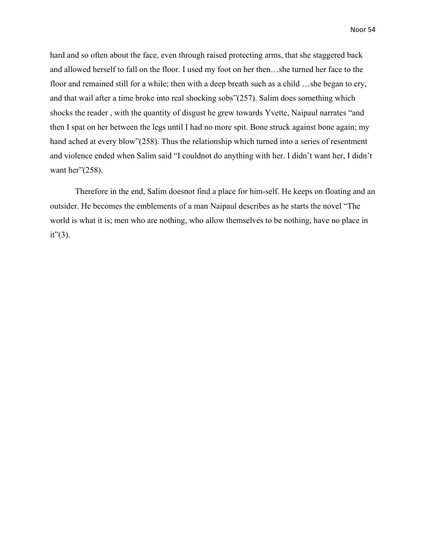hard and so often about the face, even through raised protecting arms, that she staggered back and allowed herself to fall on the floor. I used my foot on her then…she turned her face to the floor and remained still for a while; then with a deep breath such as a child …she began to cry, and that wail after a time broke into real shocking sobs"(257). Salim does something which shocks the reader , with the quantity of disgust he grew towards Yvette, Naipaul narrates "and then I spat on her between the legs until I had no more spit. Bone struck against bone again; my hand ached at every blow"(258). Thus the relationship which turned into a series of resentment and violence ended when Salim said "I couldnot do anything with her. I didn't want her, I didn't want her"(258).

Therefore in the end, Salim doesnot find a place for him-self. He keeps on floating and an outsider. He becomes the emblements of a man Naipaul describes as he starts the novel "The world is what it is; men who are nothing, who allow themselves to be nothing, have no place in  $it'(3)$ .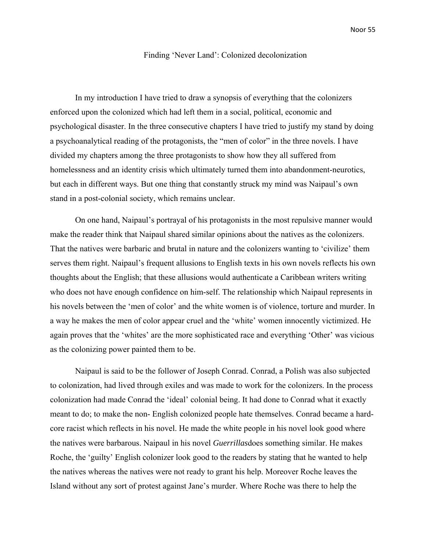#### Finding 'Never Land': Colonized decolonization

In my introduction I have tried to draw a synopsis of everything that the colonizers enforced upon the colonized which had left them in a social, political, economic and psychological disaster. In the three consecutive chapters I have tried to justify my stand by doing a psychoanalytical reading of the protagonists, the "men of color" in the three novels. I have divided my chapters among the three protagonists to show how they all suffered from homelessness and an identity crisis which ultimately turned them into abandonment-neurotics, but each in different ways. But one thing that constantly struck my mind was Naipaul's own stand in a post-colonial society, which remains unclear.

On one hand, Naipaul's portrayal of his protagonists in the most repulsive manner would make the reader think that Naipaul shared similar opinions about the natives as the colonizers. That the natives were barbaric and brutal in nature and the colonizers wanting to 'civilize' them serves them right. Naipaul's frequent allusions to English texts in his own novels reflects his own thoughts about the English; that these allusions would authenticate a Caribbean writers writing who does not have enough confidence on him-self. The relationship which Naipaul represents in his novels between the 'men of color' and the white women is of violence, torture and murder. In a way he makes the men of color appear cruel and the 'white' women innocently victimized. He again proves that the 'whites' are the more sophisticated race and everything 'Other' was vicious as the colonizing power painted them to be.

Naipaul is said to be the follower of Joseph Conrad. Conrad, a Polish was also subjected to colonization, had lived through exiles and was made to work for the colonizers. In the process colonization had made Conrad the 'ideal' colonial being. It had done to Conrad what it exactly meant to do; to make the non- English colonized people hate themselves. Conrad became a hardcore racist which reflects in his novel. He made the white people in his novel look good where the natives were barbarous. Naipaul in his novel *Guerrillas*does something similar. He makes Roche, the 'guilty' English colonizer look good to the readers by stating that he wanted to help the natives whereas the natives were not ready to grant his help. Moreover Roche leaves the Island without any sort of protest against Jane's murder. Where Roche was there to help the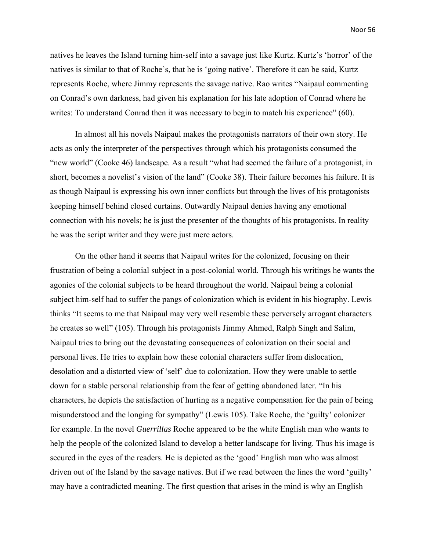natives he leaves the Island turning him-self into a savage just like Kurtz. Kurtz's 'horror' of the natives is similar to that of Roche's, that he is 'going native'. Therefore it can be said, Kurtz represents Roche, where Jimmy represents the savage native. Rao writes "Naipaul commenting on Conrad's own darkness, had given his explanation for his late adoption of Conrad where he writes: To understand Conrad then it was necessary to begin to match his experience" (60).

In almost all his novels Naipaul makes the protagonists narrators of their own story. He acts as only the interpreter of the perspectives through which his protagonists consumed the "new world" (Cooke 46) landscape. As a result "what had seemed the failure of a protagonist, in short, becomes a novelist's vision of the land" (Cooke 38). Their failure becomes his failure. It is as though Naipaul is expressing his own inner conflicts but through the lives of his protagonists keeping himself behind closed curtains. Outwardly Naipaul denies having any emotional connection with his novels; he is just the presenter of the thoughts of his protagonists. In reality he was the script writer and they were just mere actors.

On the other hand it seems that Naipaul writes for the colonized, focusing on their frustration of being a colonial subject in a post-colonial world. Through his writings he wants the agonies of the colonial subjects to be heard throughout the world. Naipaul being a colonial subject him-self had to suffer the pangs of colonization which is evident in his biography. Lewis thinks "It seems to me that Naipaul may very well resemble these perversely arrogant characters he creates so well" (105). Through his protagonists Jimmy Ahmed, Ralph Singh and Salim, Naipaul tries to bring out the devastating consequences of colonization on their social and personal lives. He tries to explain how these colonial characters suffer from dislocation, desolation and a distorted view of 'self' due to colonization. How they were unable to settle down for a stable personal relationship from the fear of getting abandoned later. "In his characters, he depicts the satisfaction of hurting as a negative compensation for the pain of being misunderstood and the longing for sympathy" (Lewis 105). Take Roche, the 'guilty' colonizer for example. In the novel *Guerrillas* Roche appeared to be the white English man who wants to help the people of the colonized Island to develop a better landscape for living. Thus his image is secured in the eyes of the readers. He is depicted as the 'good' English man who was almost driven out of the Island by the savage natives. But if we read between the lines the word 'guilty' may have a contradicted meaning. The first question that arises in the mind is why an English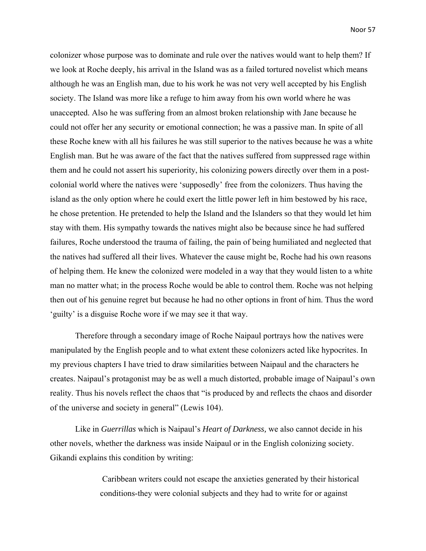colonizer whose purpose was to dominate and rule over the natives would want to help them? If we look at Roche deeply, his arrival in the Island was as a failed tortured novelist which means although he was an English man, due to his work he was not very well accepted by his English society. The Island was more like a refuge to him away from his own world where he was unaccepted. Also he was suffering from an almost broken relationship with Jane because he could not offer her any security or emotional connection; he was a passive man. In spite of all these Roche knew with all his failures he was still superior to the natives because he was a white English man. But he was aware of the fact that the natives suffered from suppressed rage within them and he could not assert his superiority, his colonizing powers directly over them in a postcolonial world where the natives were 'supposedly' free from the colonizers. Thus having the island as the only option where he could exert the little power left in him bestowed by his race, he chose pretention. He pretended to help the Island and the Islanders so that they would let him stay with them. His sympathy towards the natives might also be because since he had suffered failures, Roche understood the trauma of failing, the pain of being humiliated and neglected that the natives had suffered all their lives. Whatever the cause might be, Roche had his own reasons of helping them. He knew the colonized were modeled in a way that they would listen to a white man no matter what; in the process Roche would be able to control them. Roche was not helping then out of his genuine regret but because he had no other options in front of him. Thus the word 'guilty' is a disguise Roche wore if we may see it that way.

Therefore through a secondary image of Roche Naipaul portrays how the natives were manipulated by the English people and to what extent these colonizers acted like hypocrites. In my previous chapters I have tried to draw similarities between Naipaul and the characters he creates. Naipaul's protagonist may be as well a much distorted, probable image of Naipaul's own reality. Thus his novels reflect the chaos that "is produced by and reflects the chaos and disorder of the universe and society in general" (Lewis 104).

Like in *Guerrillas* which is Naipaul's *Heart of Darkness,* we also cannot decide in his other novels, whether the darkness was inside Naipaul or in the English colonizing society. Gikandi explains this condition by writing:

> Caribbean writers could not escape the anxieties generated by their historical conditions-they were colonial subjects and they had to write for or against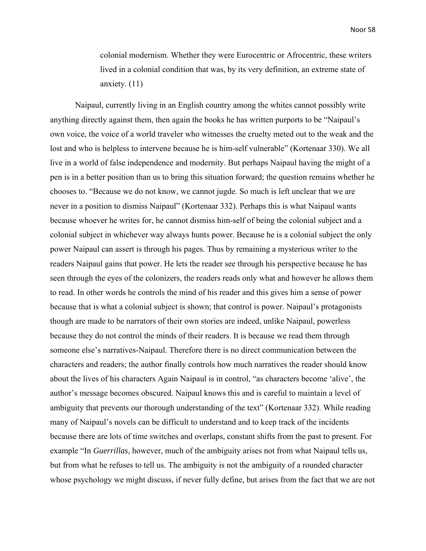colonial modernism. Whether they were Eurocentric or Afrocentric, these writers lived in a colonial condition that was, by its very definition, an extreme state of anxiety. (11)

Naipaul, currently living in an English country among the whites cannot possibly write anything directly against them, then again the books he has written purports to be "Naipaul's own voice, the voice of a world traveler who witnesses the cruelty meted out to the weak and the lost and who is helpless to intervene because he is him-self vulnerable" (Kortenaar 330). We all live in a world of false independence and modernity. But perhaps Naipaul having the might of a pen is in a better position than us to bring this situation forward; the question remains whether he chooses to. "Because we do not know, we cannot jugde. So much is left unclear that we are never in a position to dismiss Naipaul" (Kortenaar 332). Perhaps this is what Naipaul wants because whoever he writes for, he cannot dismiss him-self of being the colonial subject and a colonial subject in whichever way always hunts power. Because he is a colonial subject the only power Naipaul can assert is through his pages. Thus by remaining a mysterious writer to the readers Naipaul gains that power. He lets the reader see through his perspective because he has seen through the eyes of the colonizers, the readers reads only what and however he allows them to read. In other words he controls the mind of his reader and this gives him a sense of power because that is what a colonial subject is shown; that control is power. Naipaul's protagonists though are made to be narrators of their own stories are indeed, unlike Naipaul, powerless because they do not control the minds of their readers. It is because we read them through someone else's narratives-Naipaul. Therefore there is no direct communication between the characters and readers; the author finally controls how much narratives the reader should know about the lives of his characters Again Naipaul is in control, "as characters become 'alive', the author's message becomes obscured. Naipaul knows this and is careful to maintain a level of ambiguity that prevents our thorough understanding of the text" (Kortenaar 332). While reading many of Naipaul's novels can be difficult to understand and to keep track of the incidents because there are lots of time switches and overlaps, constant shifts from the past to present. For example "In *Guerrillas*, however, much of the ambiguity arises not from what Naipaul tells us, but from what he refuses to tell us. The ambiguity is not the ambiguity of a rounded character whose psychology we might discuss, if never fully define, but arises from the fact that we are not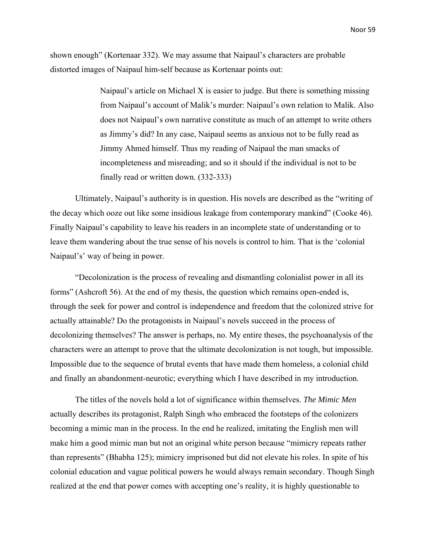shown enough" (Kortenaar 332). We may assume that Naipaul's characters are probable distorted images of Naipaul him-self because as Kortenaar points out:

> Naipaul's article on Michael X is easier to judge. But there is something missing from Naipaul's account of Malik's murder: Naipaul's own relation to Malik. Also does not Naipaul's own narrative constitute as much of an attempt to write others as Jimmy's did? In any case, Naipaul seems as anxious not to be fully read as Jimmy Ahmed himself. Thus my reading of Naipaul the man smacks of incompleteness and misreading; and so it should if the individual is not to be finally read or written down. (332-333)

Ultimately, Naipaul's authority is in question. His novels are described as the "writing of the decay which ooze out like some insidious leakage from contemporary mankind" (Cooke 46). Finally Naipaul's capability to leave his readers in an incomplete state of understanding or to leave them wandering about the true sense of his novels is control to him. That is the 'colonial Naipaul's' way of being in power.

"Decolonization is the process of revealing and dismantling colonialist power in all its forms" (Ashcroft 56). At the end of my thesis, the question which remains open-ended is, through the seek for power and control is independence and freedom that the colonized strive for actually attainable? Do the protagonists in Naipaul's novels succeed in the process of decolonizing themselves? The answer is perhaps, no. My entire theses, the psychoanalysis of the characters were an attempt to prove that the ultimate decolonization is not tough, but impossible. Impossible due to the sequence of brutal events that have made them homeless, a colonial child and finally an abandonment-neurotic; everything which I have described in my introduction.

The titles of the novels hold a lot of significance within themselves. *The Mimic Men* actually describes its protagonist, Ralph Singh who embraced the footsteps of the colonizers becoming a mimic man in the process. In the end he realized, imitating the English men will make him a good mimic man but not an original white person because "mimicry repeats rather than represents" (Bhabha 125); mimicry imprisoned but did not elevate his roles. In spite of his colonial education and vague political powers he would always remain secondary. Though Singh realized at the end that power comes with accepting one's reality, it is highly questionable to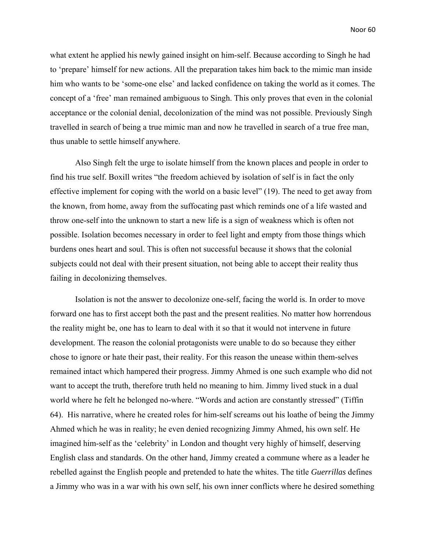what extent he applied his newly gained insight on him-self. Because according to Singh he had to 'prepare' himself for new actions. All the preparation takes him back to the mimic man inside him who wants to be 'some-one else' and lacked confidence on taking the world as it comes. The concept of a 'free' man remained ambiguous to Singh. This only proves that even in the colonial acceptance or the colonial denial, decolonization of the mind was not possible. Previously Singh travelled in search of being a true mimic man and now he travelled in search of a true free man, thus unable to settle himself anywhere.

Also Singh felt the urge to isolate himself from the known places and people in order to find his true self. Boxill writes "the freedom achieved by isolation of self is in fact the only effective implement for coping with the world on a basic level" (19). The need to get away from the known, from home, away from the suffocating past which reminds one of a life wasted and throw one-self into the unknown to start a new life is a sign of weakness which is often not possible. Isolation becomes necessary in order to feel light and empty from those things which burdens ones heart and soul. This is often not successful because it shows that the colonial subjects could not deal with their present situation, not being able to accept their reality thus failing in decolonizing themselves.

Isolation is not the answer to decolonize one-self, facing the world is. In order to move forward one has to first accept both the past and the present realities. No matter how horrendous the reality might be, one has to learn to deal with it so that it would not intervene in future development. The reason the colonial protagonists were unable to do so because they either chose to ignore or hate their past, their reality. For this reason the unease within them-selves remained intact which hampered their progress. Jimmy Ahmed is one such example who did not want to accept the truth, therefore truth held no meaning to him. Jimmy lived stuck in a dual world where he felt he belonged no-where. "Words and action are constantly stressed" (Tiffin 64). His narrative, where he created roles for him-self screams out his loathe of being the Jimmy Ahmed which he was in reality; he even denied recognizing Jimmy Ahmed, his own self. He imagined him-self as the 'celebrity' in London and thought very highly of himself, deserving English class and standards. On the other hand, Jimmy created a commune where as a leader he rebelled against the English people and pretended to hate the whites. The title *Guerrillas* defines a Jimmy who was in a war with his own self, his own inner conflicts where he desired something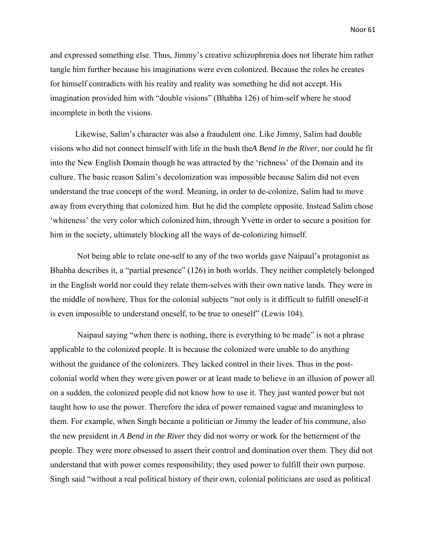and expressed something else. Thus, Jimmy's creative schizophrenia does not liberate him rather tangle him further because his imaginations were even colonized. Because the roles he creates for himself contradicts with his reality and reality was something he did not accept. His imagination provided him with "double visions" (Bhabha 126) of him-self where he stood incomplete in both the visions.

Likewise, Salim's character was also a fraudulent one. Like Jimmy, Salim had double visions who did not connect himself with life in the bush the*A Bend in the River*, nor could he fit into the New English Domain though he was attracted by the 'richness' of the Domain and its culture. The basic reason Salim's decolonization was impossible because Salim did not even understand the true concept of the word. Meaning, in order to de-colonize, Salim had to move away from everything that colonized him. But he did the complete opposite. Instead Salim chose 'whiteness' the very color which colonized him, through Yvette in order to secure a position for him in the society, ultimately blocking all the ways of de-colonizing himself.

 Not being able to relate one-self to any of the two worlds gave Naipaul's protagonist as Bhabha describes it, a "partial presence" (126) in both worlds. They neither completely belonged in the English world nor could they relate them-selves with their own native lands. They were in the middle of nowhere. Thus for the colonial subjects "not only is it difficult to fulfill oneself-it is even impossible to understand oneself, to be true to oneself" (Lewis 104).

 Naipaul saying "when there is nothing, there is everything to be made" is not a phrase applicable to the colonized people. It is because the colonized were unable to do anything without the guidance of the colonizers. They lacked control in their lives. Thus in the postcolonial world when they were given power or at least made to believe in an illusion of power all on a sudden, the colonized people did not know how to use it. They just wanted power but not taught how to use the power. Therefore the idea of power remained vague and meaningless to them. For example, when Singh became a politician or Jimmy the leader of his commune, also the new president in *A Bend in the River* they did not worry or work for the betterment of the people. They were more obsessed to assert their control and domination over them. They did not understand that with power comes responsibility; they used power to fulfill their own purpose. Singh said "without a real political history of their own, colonial politicians are used as political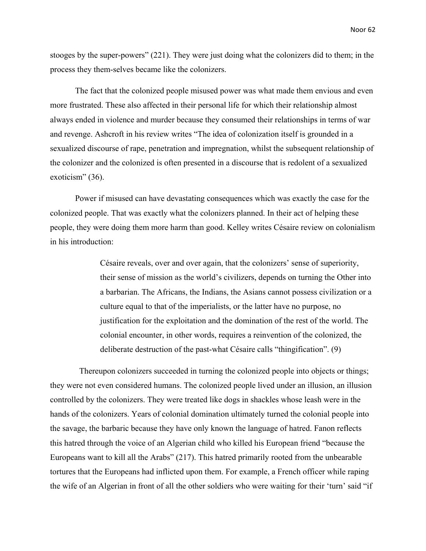stooges by the super-powers" (221). They were just doing what the colonizers did to them; in the process they them-selves became like the colonizers.

The fact that the colonized people misused power was what made them envious and even more frustrated. These also affected in their personal life for which their relationship almost always ended in violence and murder because they consumed their relationships in terms of war and revenge. Ashcroft in his review writes "The idea of colonization itself is grounded in a sexualized discourse of rape, penetration and impregnation, whilst the subsequent relationship of the colonizer and the colonized is often presented in a discourse that is redolent of a sexualized exoticism" (36).

Power if misused can have devastating consequences which was exactly the case for the colonized people. That was exactly what the colonizers planned. In their act of helping these people, they were doing them more harm than good. Kelley writes Césaire review on colonialism in his introduction:

> Césaire reveals, over and over again, that the colonizers' sense of superiority, their sense of mission as the world's civilizers, depends on turning the Other into a barbarian. The Africans, the Indians, the Asians cannot possess civilization or a culture equal to that of the imperialists, or the latter have no purpose, no justification for the exploitation and the domination of the rest of the world. The colonial encounter, in other words, requires a reinvention of the colonized, the deliberate destruction of the past-what Césaire calls "thingification". (9)

 Thereupon colonizers succeeded in turning the colonized people into objects or things; they were not even considered humans. The colonized people lived under an illusion, an illusion controlled by the colonizers. They were treated like dogs in shackles whose leash were in the hands of the colonizers. Years of colonial domination ultimately turned the colonial people into the savage, the barbaric because they have only known the language of hatred. Fanon reflects this hatred through the voice of an Algerian child who killed his European friend "because the Europeans want to kill all the Arabs" (217). This hatred primarily rooted from the unbearable tortures that the Europeans had inflicted upon them. For example, a French officer while raping the wife of an Algerian in front of all the other soldiers who were waiting for their 'turn' said "if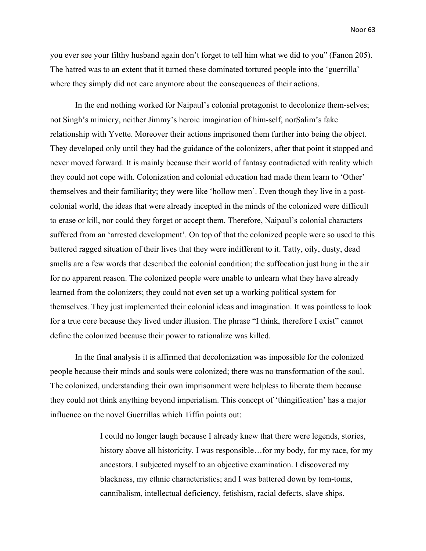you ever see your filthy husband again don't forget to tell him what we did to you" (Fanon 205). The hatred was to an extent that it turned these dominated tortured people into the 'guerrilla' where they simply did not care anymore about the consequences of their actions.

In the end nothing worked for Naipaul's colonial protagonist to decolonize them-selves; not Singh's mimicry, neither Jimmy's heroic imagination of him-self, norSalim's fake relationship with Yvette. Moreover their actions imprisoned them further into being the object. They developed only until they had the guidance of the colonizers, after that point it stopped and never moved forward. It is mainly because their world of fantasy contradicted with reality which they could not cope with. Colonization and colonial education had made them learn to 'Other' themselves and their familiarity; they were like 'hollow men'. Even though they live in a postcolonial world, the ideas that were already incepted in the minds of the colonized were difficult to erase or kill, nor could they forget or accept them. Therefore, Naipaul's colonial characters suffered from an 'arrested development'. On top of that the colonized people were so used to this battered ragged situation of their lives that they were indifferent to it. Tatty, oily, dusty, dead smells are a few words that described the colonial condition; the suffocation just hung in the air for no apparent reason. The colonized people were unable to unlearn what they have already learned from the colonizers; they could not even set up a working political system for themselves. They just implemented their colonial ideas and imagination. It was pointless to look for a true core because they lived under illusion. The phrase "I think, therefore I exist" cannot define the colonized because their power to rationalize was killed.

In the final analysis it is affirmed that decolonization was impossible for the colonized people because their minds and souls were colonized; there was no transformation of the soul. The colonized, understanding their own imprisonment were helpless to liberate them because they could not think anything beyond imperialism. This concept of 'thingification' has a major influence on the novel Guerrillas which Tiffin points out:

> I could no longer laugh because I already knew that there were legends, stories, history above all historicity. I was responsible... for my body, for my race, for my ancestors. I subjected myself to an objective examination. I discovered my blackness, my ethnic characteristics; and I was battered down by tom-toms, cannibalism, intellectual deficiency, fetishism, racial defects, slave ships.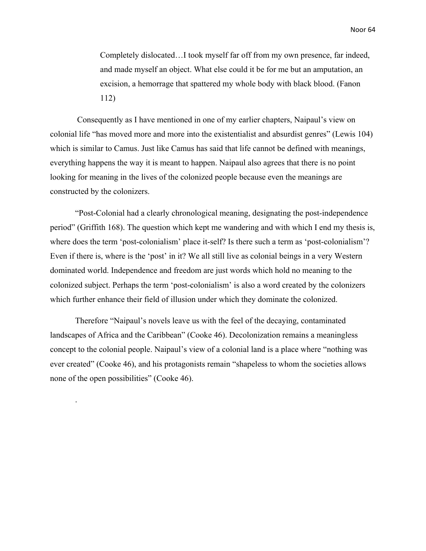Completely dislocated…I took myself far off from my own presence, far indeed, and made myself an object. What else could it be for me but an amputation, an excision, a hemorrage that spattered my whole body with black blood. (Fanon 112)

 Consequently as I have mentioned in one of my earlier chapters, Naipaul's view on colonial life "has moved more and more into the existentialist and absurdist genres" (Lewis 104) which is similar to Camus. Just like Camus has said that life cannot be defined with meanings, everything happens the way it is meant to happen. Naipaul also agrees that there is no point looking for meaning in the lives of the colonized people because even the meanings are constructed by the colonizers.

"Post-Colonial had a clearly chronological meaning, designating the post-independence period" (Griffith 168). The question which kept me wandering and with which I end my thesis is, where does the term 'post-colonialism' place it-self? Is there such a term as 'post-colonialism'? Even if there is, where is the 'post' in it? We all still live as colonial beings in a very Western dominated world. Independence and freedom are just words which hold no meaning to the colonized subject. Perhaps the term 'post-colonialism' is also a word created by the colonizers which further enhance their field of illusion under which they dominate the colonized.

Therefore "Naipaul's novels leave us with the feel of the decaying, contaminated landscapes of Africa and the Caribbean" (Cooke 46). Decolonization remains a meaningless concept to the colonial people. Naipaul's view of a colonial land is a place where "nothing was ever created" (Cooke 46), and his protagonists remain "shapeless to whom the societies allows none of the open possibilities" (Cooke 46).

.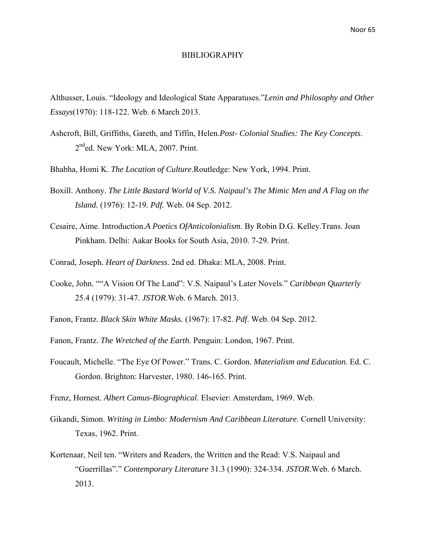#### BIBLIOGRAPHY

Althusser, Louis. "Ideology and Ideological State Apparatuses."*Lenin and Philosophy and Other Essays*(1970): 118-122. Web. 6 March 2013.

- Ashcroft, Bill, Griffiths, Gareth, and Tiffin, Helen.*Post- Colonial Studies: The Key Concepts*. 2<sup>nd</sup>ed. New York: MLA, 2007. Print.
- Bhabha, Homi K. *The Location of Culture*.Routledge: New York, 1994. Print.
- Boxill. Anthony. *The Little Bastard World of V.S. Naipaul's The Mimic Men and A Flag on the Island.* (1976): 12-19*. Pdf.* Web. 04 Sep. 2012.
- Cesaire, Aime. Introduction.*A Poetics OfAnticolonialism*. By Robin D.G. Kelley.Trans. Joan Pinkham. Delhi: Aakar Books for South Asia, 2010. 7-29. Print.
- Conrad, Joseph*. Heart of Darkness*. 2nd ed. Dhaka: MLA, 2008. Print.
- Cooke, John. ""A Vision Of The Land": V.S. Naipaul's Later Novels." *Caribbean Quarterly* 25.4 (1979): 31-47. *JSTOR*.Web. 6 March. 2013.
- Fanon, Frantz. *Black Skin White Masks.* (1967): 17-82. *Pdf*. Web. 04 Sep. 2012.
- Fanon, Frantz. *The Wretched of the Earth*. Penguin: London, 1967. Print.
- Foucault, Michelle. "The Eye Of Power." Trans. C. Gordon. *Materialism and Education*. Ed. C. Gordon. Brighton: Harvester, 1980. 146-165. Print.
- Frenz, Hornest. *Albert Camus-Biographical*. Elsevier: Amsterdam, 1969. Web.
- Gikandi, Simon. *Writing in Limbo: Modernism And Caribbean Literature*. Cornell University: Texas, 1962. Print.
- Kortenaar, Neil ten. "Writers and Readers, the Written and the Read: V.S. Naipaul and "Guerrillas"." *Contemporary Literature* 31.3 (1990): 324-334. *JSTOR*.Web. 6 March. 2013.